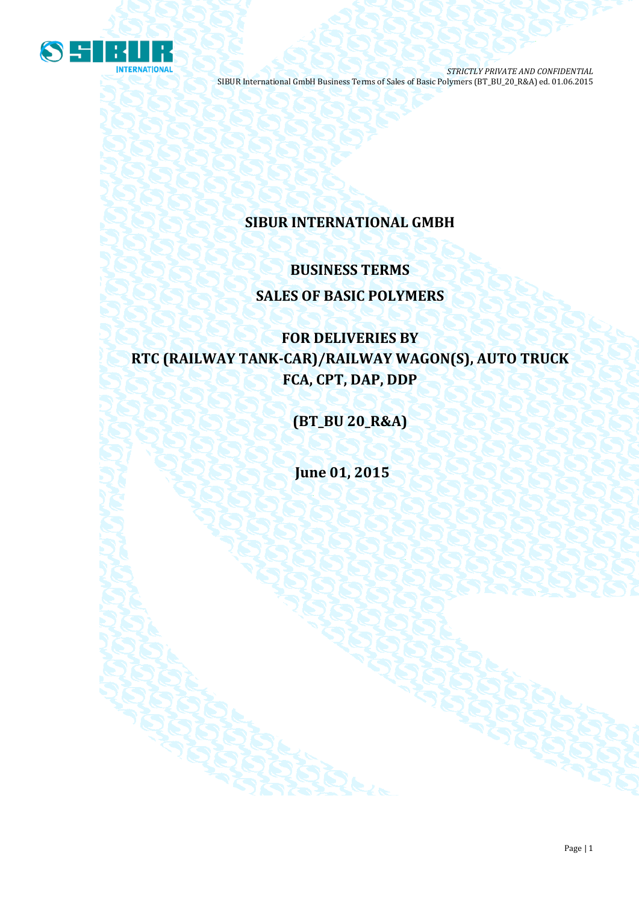

## **SIBUR INTERNATIONAL GMBH**

# **BUSINESS TERMS SALES OF BASIC POLYMERS**

# **FOR DELIVERIES BY RTC (RAILWAY TANK-CAR)/RAILWAY WAGON(S), AUTO TRUCK FCA, CPT, DAP, DDP**

**(BT\_BU 20\_R&A)**

**June 01, 2015**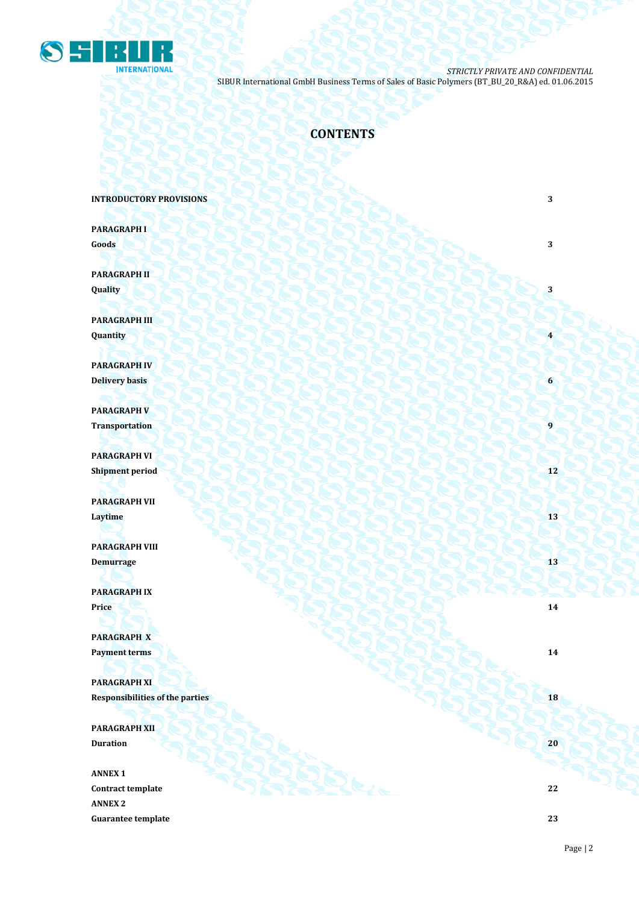

## **CONTENTS**

**INTRODUCTORY PROVISIONS** 3

**PARAGRAPH I Goods 3 3** 

**PARAGRAPH II Quality 3**

**PARAGRAPH III Quantity 4**

**PARAGRAPH IV Delivery basis 6**

**PARAGRAPH V Transportation** 

**PARAGRAPH VI Shipment period 12**

**PARAGRAPH VII Laytime 13**

**PARAGRAPH VIII Demurrage** 13

**PARAGRAPH IX Price 14 14** 

**PARAGRAPH X Payment terms 14** 

**PARAGRAPH XI Responsibilities of the parties 18** 

**PARAGRAPH XII Duration 20 20 20** 

**ANNEX 1 Contract template 22 ANNEX 2 Guarantee template 23**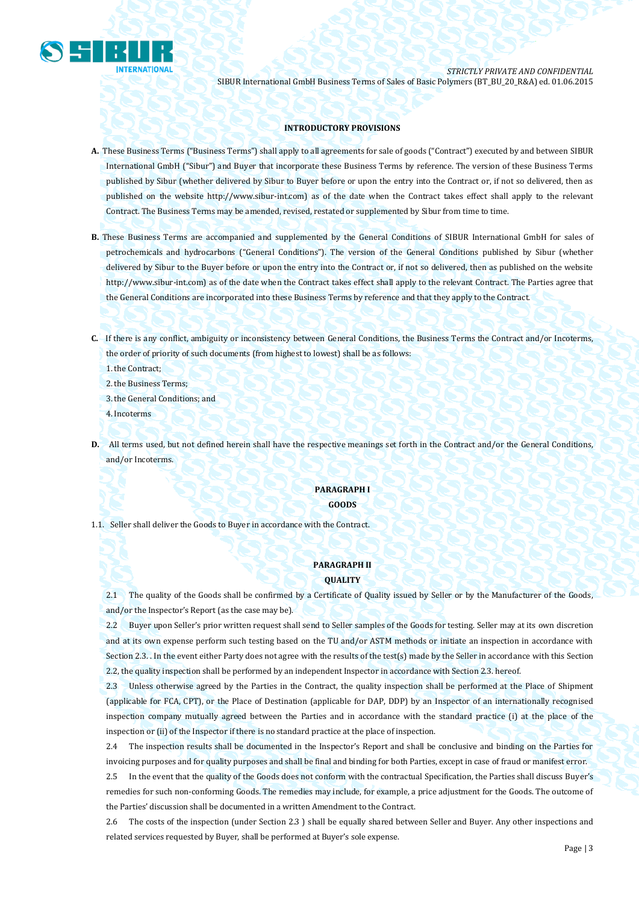

## **INTRODUCTORY PROVISIONS**

- **A.** These Business Terms ("Business Terms") shall apply to all agreements for sale of goods ("Contract") executed by and between SIBUR International GmbH ("Sibur") and Buyer that incorporate these Business Terms by reference. The version of these Business Terms published by Sibur (whether delivered by Sibur to Buyer before or upon the entry into the Contract or, if not so delivered, then as published on the website [http://www.sibur-int.com\)](http://www.sibur-int.com/) as of the date when the Contract takes effect shall apply to the relevant Contract. The Business Terms may be amended, revised, restated or supplemented by Sibur from time to time.
- **B.** These Business Terms are accompanied and supplemented by the General Conditions of SIBUR International GmbH for sales of petrochemicals and hydrocarbons ("General Conditions"). The version of the General Conditions published by Sibur (whether delivered by Sibur to the Buyer before or upon the entry into the Contract or, if not so delivered, then as published on the website [http://www.sibur-int.com\)](http://www.sibur-int.com/) as of the date when the Contract takes effect shall apply to the relevant Contract. The Parties agree that the General Conditions are incorporated into these Business Terms by reference and that they apply to the Contract.
- **C.** If there is any conflict, ambiguity or inconsistency between General Conditions, the Business Terms the Contract and/or Incoterms, the order of priority of such documents (from highest to lowest) shall be as follows:

1.the Contract;

2.the Business Terms;

3.the General Conditions; and

4.Incoterms

**D.** All terms used, but not defined herein shall have the respective meanings set forth in the Contract and/or the General Conditions, and/or Incoterms.

## **PARAGRAPH I GOODS**

1.1. Seller shall deliver the Goods to Buyer in accordance with the Contract.

## **PARAGRAPH II QUALITY**

2.1 The quality of the Goods shall be confirmed by a Certificate of Quality issued by Seller or by the Manufacturer of the Goods, and/or the Inspector's Report (as the case may be).

2.2 Buyer upon Seller's prior written request shall send to Seller samples of the Goods for testing. Seller may at its own discretion and at its own expense perform such testing based on the TU and/or ASTM methods or initiate an inspection in accordance with Section 2.3. . In the event either Party does not agree with the results of the test(s) made by the Seller in accordance with this Section 2.2, the quality inspection shall be performed by an independent Inspector in accordance with Section 2.3. hereof.

2.3 Unless otherwise agreed by the Parties in the Contract, the quality inspection shall be performed at the Place of Shipment (applicable for FCA, CPT), or the Place of Destination (applicable for DAP, DDP) by an Inspector of an internationally recognised inspection company mutually agreed between the Parties and in accordance with the standard practice (i) at the place of the inspection or (ii) of the Inspector if there is no standard practice at the place of inspection.

2.4 The inspection results shall be documented in the Inspector's Report and shall be conclusive and binding on the Parties for invoicing purposes and for quality purposes and shall be final and binding for both Parties, except in case of fraud or manifest error.

2.5 In the event that the quality of the Goods does not conform with the contractual Specification, the Parties shall discuss Buyer's remedies for such non-conforming Goods. The remedies may include, for example, a price adjustment for the Goods. The outcome of the Parties' discussion shall be documented in a written Amendment to the Contract.

2.6 The costs of the inspection (under Section 2.3 ) shall be equally shared between Seller and Buyer. Any other inspections and related services requested by Buyer, shall be performed at Buyer's sole expense.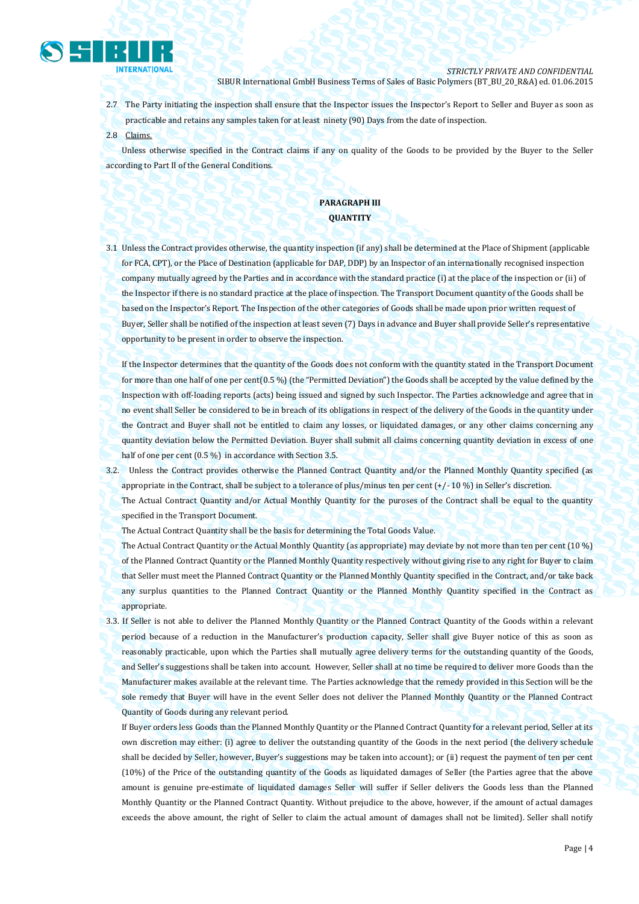

- 2.7 The Party initiating the inspection shall ensure that the Inspector issues the Inspector's Report to Seller and Buyer as soon as practicable and retains any samples taken for at least ninety (90) Days from the date of inspection.
- 2.8 Claims.

Unless otherwise specified in the Contract claims if any on quality of the Goods to be provided by the Buyer to the Seller according to Part II of the General Conditions.

## **PARAGRAPH III QUANTITY**

3.1 Unless the Contract provides otherwise, the quantity inspection (if any) shall be determined at the Place of Shipment (applicable for FCA, CPT), or the Place of Destination (applicable for DAP, DDP) by an Inspector of an internationally recognised inspection company mutually agreed by the Parties and in accordance with the standard practice (i) at the place of the inspection or (ii) of the Inspector if there is no standard practice at the place of inspection. The Transport Document quantity of the Goods shall be based on the Inspector's Report. The Inspection of the other categories of Goods shall be made upon prior written request of Buyer, Seller shall be notified of the inspection at least seven (7) Days in advance and Buyer shall provide Seller's representative opportunity to be present in order to observe the inspection.

If the Inspector determines that the quantity of the Goods does not conform with the quantity stated in the Transport Document for more than one half of one per cent(0.5 %) (the "Permitted Deviation") the Goods shall be accepted by the value defined by the Inspection with off-loading reports (acts) being issued and signed by such Inspector. The Parties acknowledge and agree that in no event shall Seller be considered to be in breach of its obligations in respect of the delivery of the Goods in the quantity under the Contract and Buyer shall not be entitled to claim any losses, or liquidated damages, or any other claims concerning any quantity deviation below the Permitted Deviation. Buyer shall submit all claims concerning quantity deviation in excess of one half of one per cent (0.5 %) in accordance with Section 3.5.

3.2. Unless the Contract provides otherwise the Planned Contract Quantity and/or the Planned Monthly Quantity specified (as appropriate in the Contract, shall be subject to a tolerance of plus/minus ten per cent (+/- 10 %) in Seller's discretion.

The Actual Contract Quantity and/or Actual Monthly Quantity for the puroses of the Contract shall be equal to the quantity specified in the Transport Document.

The Actual Contract Quantity shall be the basis for determining the Total Goods Value.

The Actual Contract Quantity or the Actual Monthly Quantity (as appropriate) may deviate by not more than ten per cent (10 %) of the Planned Contract Quantity or the Planned Monthly Quantity respectively without giving rise to any right for Buyer to claim that Seller must meet the Planned Contract Quantity or the Planned Monthly Quantity specified in the Contract, and/or take back any surplus quantities to the Planned Contract Quantity or the Planned Monthly Quantity specified in the Contract as appropriate.

3.3. If Seller is not able to deliver the Planned Monthly Quantity or the Planned Contract Quantity of the Goods within a relevant period because of a reduction in the Manufacturer's production capacity, Seller shall give Buyer notice of this as soon as reasonably practicable, upon which the Parties shall mutually agree delivery terms for the outstanding quantity of the Goods, and Seller's suggestions shall be taken into account. However, Seller shall at no time be required to deliver more Goods than the Manufacturer makes available at the relevant time. The Parties acknowledge that the remedy provided in this Section will be the sole remedy that Buyer will have in the event Seller does not deliver the Planned Monthly Quantity or the Planned Contract Quantity of Goods during any relevant period.

If Buyer orders less Goods than the Planned Monthly Quantity or the Planned Contract Quantity for a relevant period, Seller at its own discretion may either: (i) agree to deliver the outstanding quantity of the Goods in the next period (the delivery schedule shall be decided by Seller, however, Buyer's suggestions may be taken into account); or (ii) request the payment of ten per cent (10%) of the Price of the outstanding quantity of the Goods as liquidated damages of Seller (the Parties agree that the above amount is genuine pre-estimate of liquidated damages Seller will suffer if Seller delivers the Goods less than the Planned Monthly Quantity or the Planned Contract Quantity. Without prejudice to the above, however, if the amount of actual damages exceeds the above amount, the right of Seller to claim the actual amount of damages shall not be limited). Seller shall notify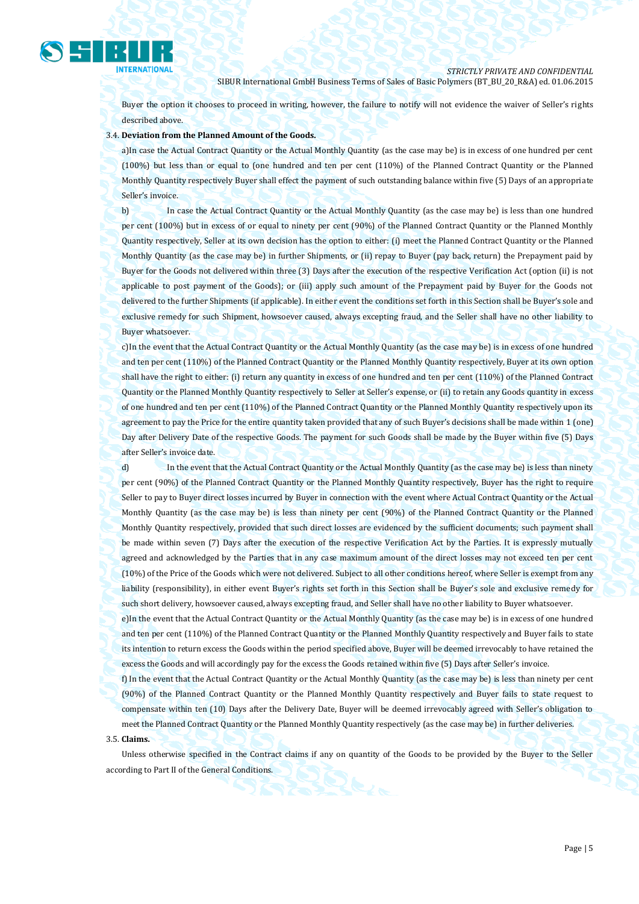

Buyer the option it chooses to proceed in writing, however, the failure to notify will not evidence the waiver of Seller's rights described above.

## 3.4. **Deviation from the Planned Amount of the Goods.**

a)In case the Actual Contract Quantity or the Actual Monthly Quantity (as the case may be) is in excess of one hundred per cent (100%) but less than or equal to (one hundred and ten per cent (110%) of the Planned Contract Quantity or the Planned Monthly Quantity respectively Buyer shall effect the payment of such outstanding balance within five (5) Days of an appropriate Seller's invoice.

b) In case the Actual Contract Quantity or the Actual Monthly Quantity (as the case may be) is less than one hundred per cent (100%) but in excess of or equal to ninety per cent (90%) of the Planned Contract Quantity or the Planned Monthly Quantity respectively, Seller at its own decision has the option to either: (i) meet the Planned Contract Quantity or the Planned Monthly Quantity (as the case may be) in further Shipments, or (ii) repay to Buyer (pay back, return) the Prepayment paid by Buyer for the Goods not delivered within three (3) Days after the execution of the respective Verification Act (option (ii) is not applicable to post payment of the Goods); or (iii) apply such amount of the Prepayment paid by Buyer for the Goods not delivered to the further Shipments (if applicable). In either event the conditions set forth in this Section shall be Buyer's sole and exclusive remedy for such Shipment, howsoever caused, always excepting fraud, and the Seller shall have no other liability to Buyer whatsoever.

c)In the event that the Actual Contract Quantity or the Actual Monthly Quantity (as the case may be) is in excess of one hundred and ten per cent (110%) of the Planned Contract Quantity or the Planned Monthly Quantity respectively, Buyer at its own option shall have the right to either: (i) return any quantity in excess of one hundred and ten per cent (110%) of the Planned Contract Quantity or the Planned Monthly Quantity respectively to Seller at Seller's expense, or (ii) to retain any Goods quantity in excess of one hundred and ten per cent (110%) of the Planned Contract Quantity or the Planned Monthly Quantity respectively upon its agreement to pay the Price for the entire quantity taken provided that any of such Buyer's decisions shall be made within 1 (one) Day after Delivery Date of the respective Goods. The payment for such Goods shall be made by the Buyer within five (5) Days after Seller's invoice date.

d) In the event that the Actual Contract Quantity or the Actual Monthly Quantity (as the case may be) is less than ninety per cent (90%) of the Planned Contract Quantity or the Planned Monthly Quantity respectively, Buyer has the right to require Seller to pay to Buyer direct losses incurred by Buyer in connection with the event where Actual Contract Quantity or the Actual Monthly Quantity (as the case may be) is less than ninety per cent (90%) of the Planned Contract Quantity or the Planned Monthly Quantity respectively, provided that such direct losses are evidenced by the sufficient documents; such payment shall be made within seven (7) Days after the execution of the respective Verification Act by the Parties. It is expressly mutually agreed and acknowledged by the Parties that in any case maximum amount of the direct losses may not exceed ten per cent (10%) of the Price of the Goods which were not delivered. Subject to all other conditions hereof, where Seller is exempt from any liability (responsibility), in either event Buyer's rights set forth in this Section shall be Buyer's sole and exclusive remedy for such short delivery, howsoever caused, always excepting fraud, and Seller shall have no other liability to Buyer whatsoever.

e)In the event that the Actual Contract Quantity or the Actual Monthly Quantity (as the case may be) is in excess of one hundred and ten per cent (110%) of the Planned Contract Quantity or the Planned Monthly Quantity respectively and Buyer fails to state its intention to return excess the Goods within the period specified above, Buyer will be deemed irrevocably to have retained the excess the Goods and will accordingly pay for the excess the Goods retained within five (5) Days after Seller's invoice.

f) In the event that the Actual Contract Quantity or the Actual Monthly Quantity (as the case may be) is less than ninety per cent (90%) of the Planned Contract Quantity or the Planned Monthly Quantity respectively and Buyer fails to state request to compensate within ten (10) Days after the Delivery Date, Buyer will be deemed irrevocably agreed with Seller's obligation to meet the Planned Contract Quantity or the Planned Monthly Quantity respectively (as the case may be) in further deliveries. 3.5. **Claims.** 

Unless otherwise specified in the Contract claims if any on quantity of the Goods to be provided by the Buyer to the Seller according to Part II of the General Conditions.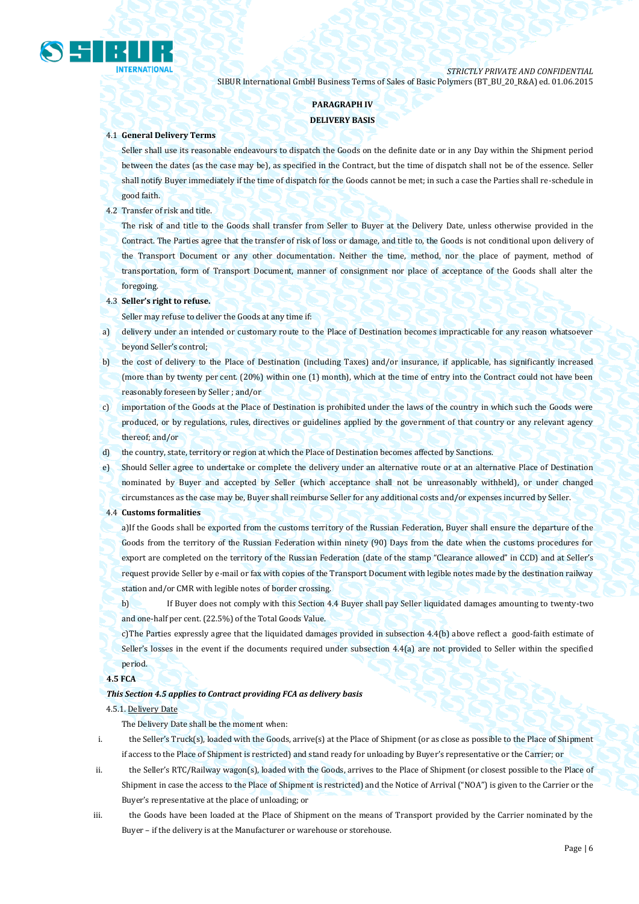

## **PARAGRAPH IV**

## **DELIVERY BASIS**

## 4.1 **General Delivery Terms**

Seller shall use its reasonable endeavours to dispatch the Goods on the definite date or in any Day within the Shipment period between the dates (as the case may be), as specified in the Contract, but the time of dispatch shall not be of the essence. Seller shall notify Buyer immediately if the time of dispatch for the Goods cannot be met; in such a case the Parties shall re-schedule in good faith.

## 4.2 Transfer of risk and title.

The risk of and title to the Goods shall transfer from Seller to Buyer at the Delivery Date, unless otherwise provided in the Contract. The Parties agree that the transfer of risk of loss or damage, and title to, the Goods is not conditional upon delivery of the Transport Document or any other documentation. Neither the time, method, nor the place of payment, method of transportation, form of Transport Document, manner of consignment nor place of acceptance of the Goods shall alter the foregoing.

## 4.3 **Seller's right to refuse.**

Seller may refuse to deliver the Goods at any time if:

- a) delivery under an intended or customary route to the Place of Destination becomes impracticable for any reason whatsoever beyond Seller's control;
- b) the cost of delivery to the Place of Destination (including Taxes) and/or insurance, if applicable, has significantly increased (more than by twenty per cent. (20%) within one (1) month), which at the time of entry into the Contract could not have been reasonably foreseen by Seller ; and/or
- c) importation of the Goods at the Place of Destination is prohibited under the laws of the country in which such the Goods were produced, or by regulations, rules, directives or guidelines applied by the government of that country or any relevant agency thereof; and/or
- d) the country, state, territory or region at which the Place of Destination becomes affected by Sanctions.
- e) Should Seller agree to undertake or complete the delivery under an alternative route or at an alternative Place of Destination nominated by Buyer and accepted by Seller (which acceptance shall not be unreasonably withheld), or under changed circumstances as the case may be, Buyer shall reimburse Seller for any additional costs and/or expenses incurred by Seller.
- 4.4 **Customs formalities**

a)If the Goods shall be exported from the customs territory of the Russian Federation, Buyer shall ensure the departure of the Goods from the territory of the Russian Federation within ninety (90) Days from the date when the customs procedures for export are completed on the territory of the Russian Federation (date of the stamp "Clearance allowed" in CCD) and at Seller's request provide Seller by e-mail or fax with copies of the Transport Document with legible notes made by the destination railway station and/or CMR with legible notes of border crossing.

b) If Buyer does not comply with this Section 4.4 Buyer shall pay Seller liquidated damages amounting to twenty-two and one-half per cent. (22.5%) of the Total Goods Value.

c)The Parties expressly agree that the liquidated damages provided in subsection 4.4(b) above reflect a good-faith estimate of Seller's losses in the event if the documents required under subsection 4.4(a) are not provided to Seller within the specified period.

## **4.5 FCA**

## *This Section 4.5 applies to Contract providing FCA as delivery basis*

## 4.5.1. Delivery Date

The Delivery Date shall be the moment when:

- i. the Seller's Truck(s), loaded with the Goods, arrive(s) at the Place of Shipment (or as close as possible to the Place of Shipment if access to the Place of Shipment is restricted) and stand ready for unloading by Buyer's representative or the Carrier; or
- ii. the Seller's RTC/Railway wagon(s), loaded with the Goods, arrives to the Place of Shipment (or closest possible to the Place of Shipment in case the access to the Place of Shipment is restricted) and the Notice of Arrival ("NOA") is given to the Carrier or the Buyer's representative at the place of unloading; or
- iii. the Goods have been loaded at the Place of Shipment on the means of Transport provided by the Carrier nominated by the Buyer - if the delivery is at the Manufacturer or warehouse or storehouse.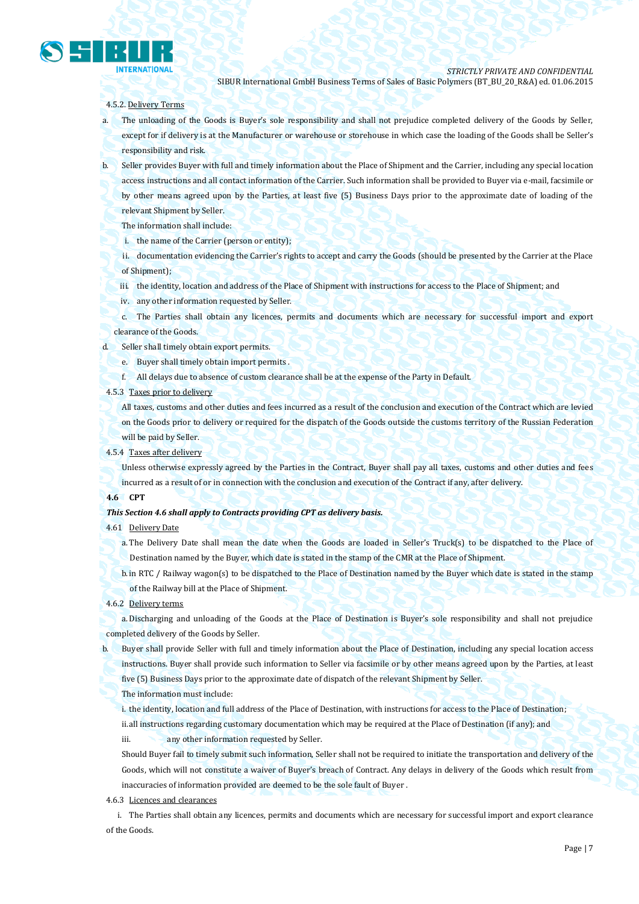

### 4.5.2. Delivery Terms

- a. The unloading of the Goods is Buyer's sole responsibility and shall not prejudice completed delivery of the Goods by Seller, except for if delivery is at the Manufacturer or warehouse or storehouse in which case the loading of the Goods shall be Seller's responsibility and risk.
- b. Seller provides Buyer with full and timely information about the Place of Shipment and the Carrier, including any special location access instructions and all contact information of the Carrier. Such information shall be provided to Buyer via e-mail, facsimile or by other means agreed upon by the Parties, at least five (5) Business Days prior to the approximate date of loading of the relevant Shipment by Seller.
	- The information shall include:
	- i. the name of the Carrier (person or entity);
	- ii. documentation evidencing the Carrier's rights to accept and carry the Goods (should be presented by the Carrier at the Place of Shipment);
	- iii. the identity, location and address of the Place of Shipment with instructions for access to the Place of Shipment; and
	- iv. any other information requested by Seller.
	- c. The Parties shall obtain any licences, permits and documents which are necessary for successful import and export clearance of the Goods.
- d. Seller shall timely obtain export permits.
	- e. Buyer shall timely obtain import permits .
	- f. All delays due to absence of custom clearance shall be at the expense of the Party in Default.
- 4.5.3 Taxes prior to delivery

All taxes, customs and other duties and fees incurred as a result of the conclusion and execution of the Contract which are levied on the Goods prior to delivery or required for the dispatch of the Goods outside the customs territory of the Russian Federation will be paid by Seller.

4.5.4 Taxes after delivery

Unless otherwise expressly agreed by the Parties in the Contract, Buyer shall pay all taxes, customs and other duties and fees incurred as a result of or in connection with the conclusion and execution of the Contract if any, after delivery.

## **4.6 CPT**

#### *This Section 4.6 shall apply to Contracts providing CPT as delivery basis.*

#### 4.61 Delivery Date

a. The Delivery Date shall mean the date when the Goods are loaded in Seller's Truck(s) to be dispatched to the Place of Destination named by the Buyer, which date is stated in the stamp of the CMR at the Place of Shipment.

b.in RTC / Railway wagon(s) to be dispatched to the Place of Destination named by the Buyer which date is stated in the stamp of the Railway bill at the Place of Shipment.

4.6.2 Delivery terms

a. Discharging and unloading of the Goods at the Place of Destination is Buyer's sole responsibility and shall not prejudice completed delivery of the Goods by Seller.

b. Buyer shall provide Seller with full and timely information about the Place of Destination, including any special location access instructions. Buyer shall provide such information to Seller via facsimile or by other means agreed upon by the Parties, at least

five (5) Business Days prior to the approximate date of dispatch of the relevant Shipment by Seller.

#### The information must include:

i. the identity, location and full address of the Place of Destination, with instructions for access to the Place of Destination; ii.all instructions regarding customary documentation which may be required at the Place of Destination (if any); and

iii. **any other information requested by Seller.** 

Should Buyer fail to timely submit such information, Seller shall not be required to initiate the transportation and delivery of the Goods, which will not constitute a waiver of Buyer's breach of Contract. Any delays in delivery of the Goods which result from inaccuracies of information provided are deemed to be the sole fault of Buyer .

## 4.6.3 Licences and clearances

i. The Parties shall obtain any licences, permits and documents which are necessary for successful import and export clearance of the Goods.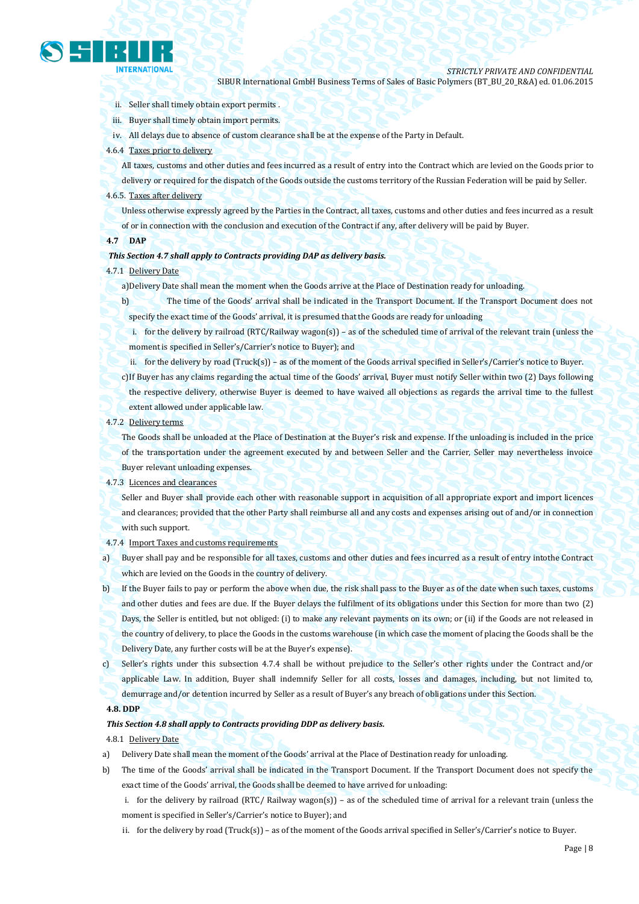

- ii. Seller shall timely obtain export permits .
- iii. Buyer shall timely obtain import permits.
- iv. All delays due to absence of custom clearance shall be at the expense of the Party in Default.
- 4.6.4 Taxes prior to delivery

All taxes, customs and other duties and fees incurred as a result of entry into the Contract which are levied on the Goods prior to

delivery or required for the dispatch of the Goods outside the customs territory of the Russian Federation will be paid by Seller. 4.6.5. Taxes after delivery

Unless otherwise expressly agreed by the Parties in the Contract, all taxes, customs and other duties and fees incurred as a result of or in connection with the conclusion and execution of the Contract if any, after delivery will be paid by Buyer.

## **4.7 DAP**

#### *This Section 4.7 shall apply to Contracts providing DAP as delivery basis.*

## 4.7.1 Delivery Date

- a)Delivery Date shall mean the moment when the Goods arrive at the Place of Destination ready for unloading.
- b) The time of the Goods' arrival shall be indicated in the Transport Document. If the Transport Document does not specify the exact time of the Goods' arrival, it is presumed that the Goods are ready for unloading
	- i. for the delivery by railroad (RTC/Railway wagon(s)) as of the scheduled time of arrival of the relevant train (unless the moment is specified in Seller's/Carrier's notice to Buyer); and
- ii. for the delivery by road (Truck(s)) as of the moment of the Goods arrival specified in Seller's/Carrier's notice to Buyer.
- c)If Buyer has any claims regarding the actual time of the Goods' arrival, Buyer must notify Seller within two (2) Days following the respective delivery, otherwise Buyer is deemed to have waived all objections as regards the arrival time to the fullest extent allowed under applicable law.

## 4.7.2 Delivery terms

The Goods shall be unloaded at the Place of Destination at the Buyer's risk and expense. If the unloading is included in the price of the transportation under the agreement executed by and between Seller and the Carrier, Seller may nevertheless invoice Buyer relevant unloading expenses.

#### 4.7.3 Licences and clearances

Seller and Buyer shall provide each other with reasonable support in acquisition of all appropriate export and import licences and clearances; provided that the other Party shall reimburse all and any costs and expenses arising out of and/or in connection with such support.

4.7.4 Import Taxes and customs requirements

a) Buyer shall pay and be responsible for all taxes, customs and other duties and fees incurred as a result of entry intothe Contract which are levied on the Goods in the country of delivery.

b) If the Buyer fails to pay or perform the above when due, the risk shall pass to the Buyer as of the date when such taxes, customs and other duties and fees are due. If the Buyer delays the fulfilment of its obligations under this Section for more than two (2) Days, the Seller is entitled, but not obliged: (i) to make any relevant payments on its own; or (ii) if the Goods are not released in the country of delivery, to place the Goods in the customs warehouse (in which case the moment of placing the Goods shall be the Delivery Date, any further costs will be at the Buyer's expense).

c) Seller's rights under this subsection 4.7.4 shall be without prejudice to the Seller's other rights under the Contract and/or applicable Law. In addition, Buyer shall indemnify Seller for all costs, losses and damages, including, but not limited to, demurrage and/or detention incurred by Seller as a result of Buyer's any breach of obligations under this Section.

## **4.8. DDP**

## *This Section 4.8 shall apply to Contracts providing DDP as delivery basis.*

## 4.8.1 Delivery Date

- a) Delivery Date shall mean the moment of the Goods' arrival at the Place of Destination ready for unloading.
- b) The time of the Goods' arrival shall be indicated in the Transport Document. If the Transport Document does not specify the exact time of the Goods' arrival, the Goods shall be deemed to have arrived for unloading:
	- i. for the delivery by railroad (RTC/ Railway wagon(s)) as of the scheduled time of arrival for a relevant train (unless the moment is specified in Seller's/Carrier's notice to Buyer); and
	- ii. for the delivery by road (Truck(s)) as of the moment of the Goods arrival specified in Seller's/Carrier's notice to Buyer.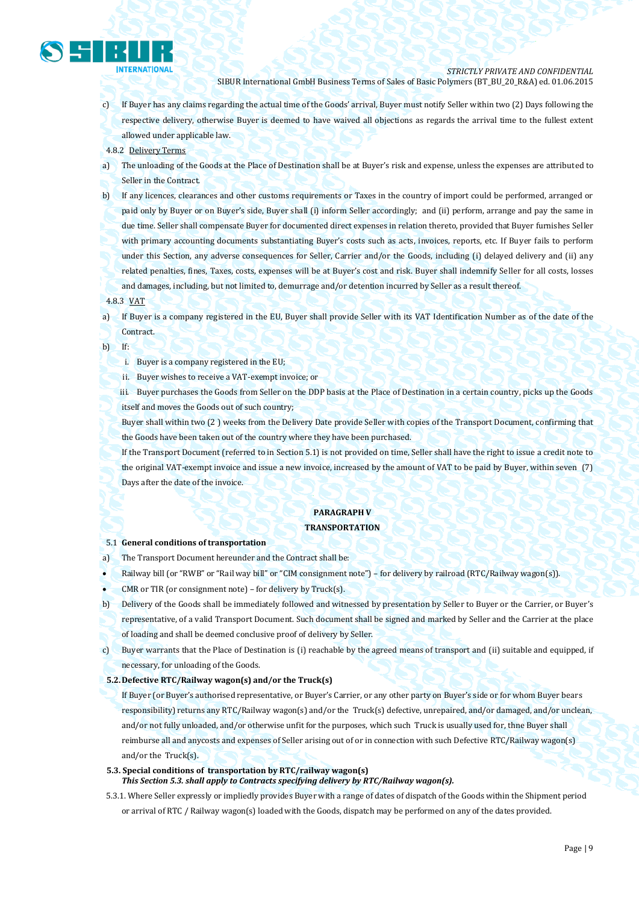

- c) If Buyer has any claims regarding the actual time of the Goods' arrival, Buyer must notify Seller within two (2) Days following the respective delivery, otherwise Buyer is deemed to have waived all objections as regards the arrival time to the fullest extent allowed under applicable law.
- 4.8.2 Delivery Terms
- a) The unloading of the Goods at the Place of Destination shall be at Buyer's risk and expense, unless the expenses are attributed to Seller in the Contract.
- b) If any licences, clearances and other customs requirements or Taxes in the country of import could be performed, arranged or paid only by Buyer or on Buyer's side, Buyer shall (i) inform Seller accordingly; and (ii) perform, arrange and pay the same in due time. Seller shall compensate Buyer for documented direct expenses in relation thereto, provided that Buyer furnishes Seller with primary accounting documents substantiating Buyer's costs such as acts, invoices, reports, etc. If Buyer fails to perform under this Section, any adverse consequences for Seller, Carrier and/or the Goods, including (i) delayed delivery and (ii) any related penalties, fines, Taxes, costs, expenses will be at Buyer's cost and risk. Buyer shall indemnify Seller for all costs, losses and damages, including, but not limited to, demurrage and/or detention incurred by Seller as a result thereof.
- 4.8.3 VAT

a) If Buyer is a company registered in the EU, Buyer shall provide Seller with its VAT Identification Number as of the date of the Contract.

- b) If:
	- i. Buyer is a company registered in the EU;
	- ii. Buyer wishes to receive a VAT-exempt invoice; or
	- iii. Buyer purchases the Goods from Seller on the DDP basis at the Place of Destination in a certain country, picks up the Goods itself and moves the Goods out of such country;
	- Buyer shall within two (2 ) weeks from the Delivery Date provide Seller with copies of the Transport Document, confirming that the Goods have been taken out of the country where they have been purchased.
	- If the Transport Document (referred to in Section 5.1) is not provided on time, Seller shall have the right to issue a credit note to the original VAT-exempt invoice and issue a new invoice, increased by the amount of VAT to be paid by Buyer, within seven (7) Days after the date of the invoice.

## **PARAGRAPH V**

## **TRANSPORTATION**

## 5.1 **General conditions of transportation**

- a) The Transport Document hereunder and the Contract shall be:
- Railway bill (or "RWB" or "Rail way bill" or "CIM consignment note") for delivery by railroad (RTC/Railway wagon(s)).
- CMR or TIR (or consignment note) for delivery by Truck(s).
- b) Delivery of the Goods shall be immediately followed and witnessed by presentation by Seller to Buyer or the Carrier, or Buyer's
- representative, of a valid Transport Document. Such document shall be signed and marked by Seller and the Carrier at the place of loading and shall be deemed conclusive proof of delivery by Seller.
- c) Buyer warrants that the Place of Destination is (i) reachable by the agreed means of transport and (ii) suitable and equipped, if necessary, for unloading of the Goods.
- **5.2.Defective RTC/Railway wagon(s) and/or the Truck(s)**
	- If Buyer (or Buyer's authorised representative, or Buyer's Carrier, or any other party on Buyer's side or for whom Buyer bears responsibility) returns any RTC/Railway wagon(s) and/or the Truck(s) defective, unrepaired, and/or damaged, and/or unclean, and/or not fully unloaded, and/or otherwise unfit for the purposes, which such Truck is usually used for, thne Buyer shall reimburse all and anycosts and expenses of Seller arising out of or in connection with such Defective RTC/Railway wagon(s) and/or the Truck(s).
- **5.3. Special conditions of transportation by RTC/railway wagon(s)** *This Section 5.3. shall apply to Contracts specifying delivery by RTC/Railway wagon(s).*
- 5.3.1. Where Seller expressly or impliedly provides Buyer with a range of dates of dispatch of the Goods within the Shipment period or arrival of RTC / Railway wagon(s) loaded with the Goods, dispatch may be performed on any of the dates provided.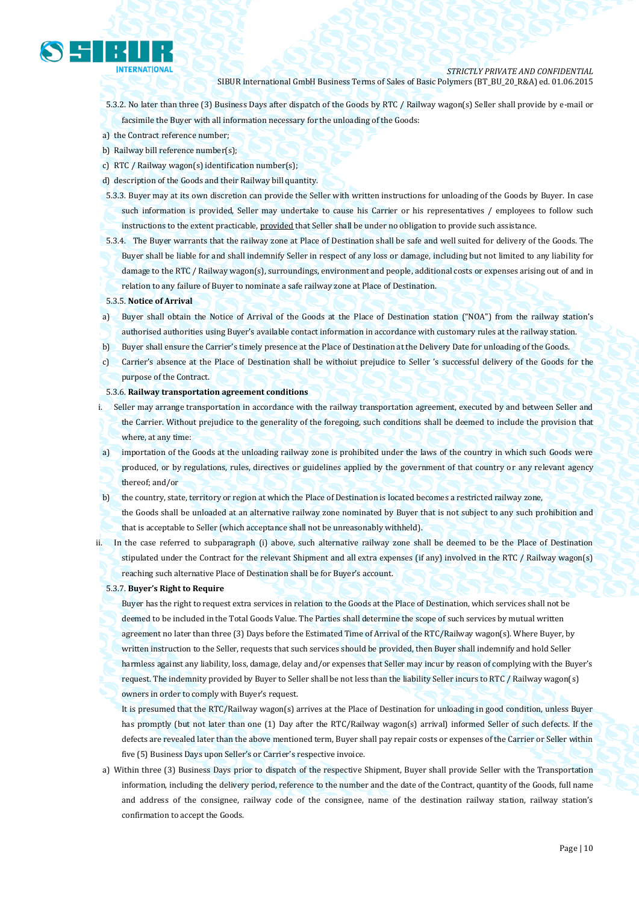

- 5.3.2. No later than three (3) Business Days after dispatch of the Goods by RTC / Railway wagon(s) Seller shall provide by e-mail or facsimile the Buyer with all information necessary for the unloading of the Goods:
- a) the Contract reference number;
- b) Railway bill reference number(s);
- c) RTC / Railway wagon(s) identification number(s);
- d) description of the Goods and their Railway bill quantity.
- 5.3.3. Buyer may at its own discretion can provide the Seller with written instructions for unloading of the Goods by Buyer. In case such information is provided, Seller may undertake to cause his Carrier or his representatives / employees to follow such instructions to the extent practicable, provided that Seller shall be under no obligation to provide such assistance.
- 5.3.4. The Buyer warrants that the railway zone at Place of Destination shall be safe and well suited for delivery of the Goods. The Buyer shall be liable for and shall indemnify Seller in respect of any loss or damage, including but not limited to any liability for damage to the RTC / Railway wagon(s), surroundings, environment and people, additional costs or expenses arising out of and in relation to any failure of Buyer to nominate a safe railway zone at Place of Destination.
- 5.3.5. **Notice of Arrival**
- a) Buyer shall obtain the Notice of Arrival of the Goods at the Place of Destination station ("NOA") from the railway station's authorised authorities using Buyer's available contact information in accordance with customary rules at the railway station.
- b) Buyer shall ensure the Carrier's timely presence at the Place of Destination at the Delivery Date for unloading of the Goods.
- c) Carrier's absence at the Place of Destination shall be withoiut prejudice to Seller 's successful delivery of the Goods for the purpose of the Contract.
- 5.3.6. **Railway transportation agreement conditions**
- i. Seller may arrange transportation in accordance with the railway transportation agreement, executed by and between Seller and the Carrier. Without prejudice to the generality of the foregoing, such conditions shall be deemed to include the provision that where, at any time:
- a) importation of the Goods at the unloading railway zone is prohibited under the laws of the country in which such Goods were produced, or by regulations, rules, directives or guidelines applied by the government of that country or any relevant agency thereof; and/or
- b) the country, state, territory or region at which the Place of Destination is located becomes a restricted railway zone, the Goods shall be unloaded at an alternative railway zone nominated by Buyer that is not subject to any such prohibition and that is acceptable to Seller (which acceptance shall not be unreasonably withheld).
- ii. In the case referred to subparagraph (i) above, such alternative railway zone shall be deemed to be the Place of Destination stipulated under the Contract for the relevant Shipment and all extra expenses (if any) involved in the RTC / Railway wagon(s) reaching such alternative Place of Destination shall be for Buyer's account.
	- 5.3.7. **Buyer's Right to Require**

Buyer has the right to request extra services in relation to the Goods at the Place of Destination, which services shall not be deemed to be included in the Total Goods Value. The Parties shall determine the scope of such services by mutual written agreement no later than three (3) Days before the Estimated Time of Arrival of the RTC/Railway wagon(s). Where Buyer, by written instruction to the Seller, requests that such services should be provided, then Buyer shall indemnify and hold Seller harmless against any liability, loss, damage, delay and/or expenses that Seller may incur by reason of complying with the Buyer's request. The indemnity provided by Buyer to Seller shall be not less than the liability Seller incurs to RTC / Railway wagon(s) owners in order to comply with Buyer's request.

It is presumed that the RTC/Railway wagon(s) arrives at the Place of Destination for unloading in good condition, unless Buyer has promptly (but not later than one (1) Day after the RTC/Railway wagon(s) arrival) informed Seller of such defects. If the defects are revealed later than the above mentioned term, Buyer shall pay repair costs or expenses of the Carrier or Seller within five (5) Business Days upon Seller's or Carrier's respective invoice.

a) Within three (3) Business Days prior to dispatch of the respective Shipment, Buyer shall provide Seller with the Transportation information, including the delivery period, reference to the number and the date of the Contract, quantity of the Goods, full name and address of the consignee, railway code of the consignee, name of the destination railway station, railway station's confirmation to accept the Goods.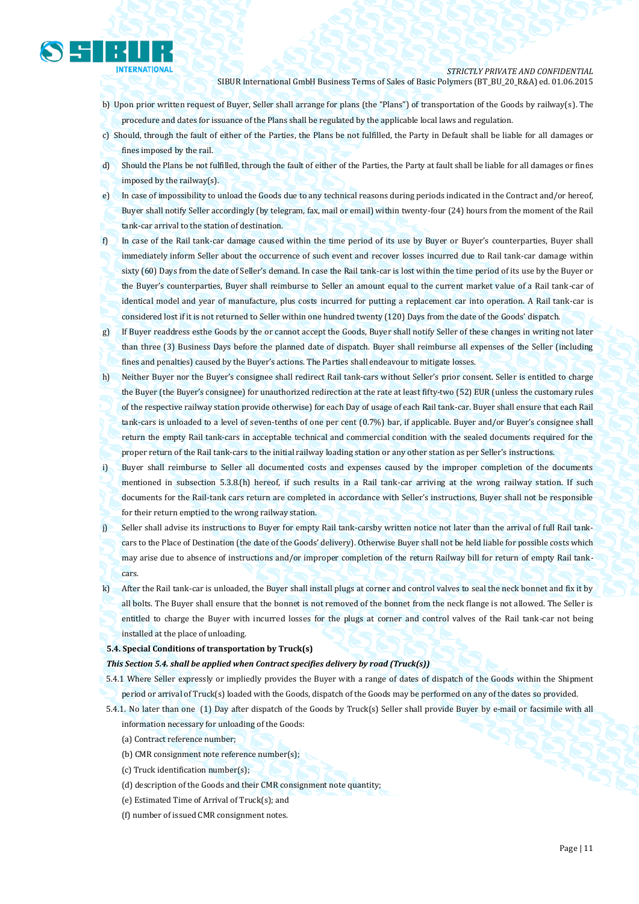

- b) Upon prior written request of Buyer, Seller shall arrange for plans (the "Plans") of transportation of the Goods by railway(s). The procedure and dates for issuance of the Plans shall be regulated by the applicable local laws and regulation.
- c) Should, through the fault of either of the Parties, the Plans be not fulfilled, the Party in Default shall be liable for all damages or fines imposed by the rail.
- d) Should the Plans be not fulfilled, through the fault of either of the Parties, the Party at fault shall be liable for all damages or fines imposed by the railway(s).
- e) In case of impossibility to unload the Goods due to any technical reasons during periods indicated in the Contract and/or hereof, Buyer shall notify Seller accordingly (by telegram, fax, mail or email) within twenty-four (24) hours from the moment of the Rail tank-car arrival to the station of destination.
- f) In case of the Rail tank-car damage caused within the time period of its use by Buyer or Buyer's counterparties, Buyer shall immediately inform Seller about the occurrence of such event and recover losses incurred due to Rail tank-car damage within sixty (60) Days from the date of Seller's demand. In case the Rail tank-car is lost within the time period of its use by the Buyer or the Buyer's counterparties, Buyer shall reimburse to Seller an amount equal to the current market value of a Rail tank-car of identical model and year of manufacture, plus costs incurred for putting a replacement car into operation. A Rail tank-car is considered lost if it is not returned to Seller within one hundred twenty (120) Days from the date of the Goods' dispatch.
- g) If Buyer readdress esthe Goods by the or cannot accept the Goods, Buyer shall notify Seller of these changes in writing not later than three (3) Business Days before the planned date of dispatch. Buyer shall reimburse all expenses of the Seller (including fines and penalties) caused by the Buyer's actions. The Parties shall endeavour to mitigate losses.
- h) Neither Buyer nor the Buyer's consignee shall redirect Rail tank-cars without Seller's prior consent. Seller is entitled to charge the Buyer (the Buyer's consignee) for unauthorized redirection at the rate at least fifty-two (52) EUR (unless the customary rules of the respective railway station provide otherwise) for each Day of usage of each Rail tank-car. Buyer shall ensure that each Rail tank-cars is unloaded to a level of seven-tenths of one per cent (0.7%) bar, if applicable. Buyer and/or Buyer's consignee shall return the empty Rail tank-cars in acceptable technical and commercial condition with the sealed documents required for the proper return of the Rail tank-cars to the initial railway loading station or any other station as per Seller's instructions.
- i) Buyer shall reimburse to Seller all documented costs and expenses caused by the improper completion of the documents mentioned in subsection 5.3.8.(h) hereof, if such results in a Rail tank-car arriving at the wrong railway station. If such documents for the Rail-tank cars return are completed in accordance with Seller's instructions, Buyer shall not be responsible for their return emptied to the wrong railway station.
- j) Seller shall advise its instructions to Buyer for empty Rail tank-carsby written notice not later than the arrival of full Rail tankcars to the Place of Destination (the date of the Goods' delivery). Otherwise Buyer shall not be held liable for possible costs which may arise due to absence of instructions and/or improper completion of the return Railway bill for return of empty Rail tankcars.
- k) After the Rail tank-car is unloaded, the Buyer shall install plugs at corner and control valves to seal the neck bonnet and fix it by all bolts. The Buyer shall ensure that the bonnet is not removed of the bonnet from the neck flange is not allowed. The Seller is entitled to charge the Buyer with incurred losses for the plugs at corner and control valves of the Rail tank-car not being installed at the place of unloading.
- **5.4. Special Conditions of transportation by Truck(s)**

#### *This Section 5.4. shall be applied when Contract specifies delivery by road (Truck(s))*

- 5.4.1 Where Seller expressly or impliedly provides the Buyer with a range of dates of dispatch of the Goods within the Shipment period or arrival of Truck(s) loaded with the Goods, dispatch of the Goods may be performed on any of the dates so provided.
- 5.4.1. No later than one (1) Day after dispatch of the Goods by Truck(s) Seller shall provide Buyer by e-mail or facsimile with all information necessary for unloading of the Goods:
	- (a) Contract reference number;
	- (b) CMR consignment note reference number(s);
	- (c) Truck identification number(s);
	- (d) description of the Goods and their CMR consignment note quantity;
	- (e) Estimated Time of Arrival of Truck(s); and
	- (f) number of issued CMR consignment notes.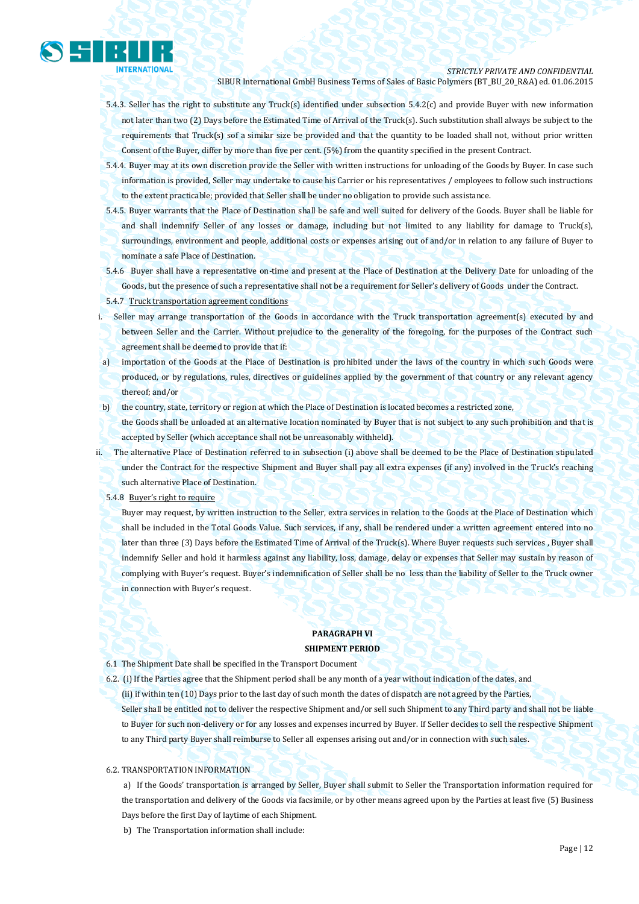

- 5.4.3. Seller has the right to substitute any Truck(s) identified under subsection 5.4.2(c) and provide Buyer with new information not later than two (2) Days before the Estimated Time of Arrival of the Truck(s). Such substitution shall always be subject to the requirements that Truck(s) sof a similar size be provided and that the quantity to be loaded shall not, without prior written Consent of the Buyer, differ by more than five per cent. (5%) from the quantity specified in the present Contract.
- 5.4.4. Buyer may at its own discretion provide the Seller with written instructions for unloading of the Goods by Buyer. In case such information is provided, Seller may undertake to cause his Carrier or his representatives / employees to follow such instructions to the extent practicable; provided that Seller shall be under no obligation to provide such assistance.
- 5.4.5. Buyer warrants that the Place of Destination shall be safe and well suited for delivery of the Goods. Buyer shall be liable for and shall indemnify Seller of any losses or damage, including but not limited to any liability for damage to Truck(s), surroundings, environment and people, additional costs or expenses arising out of and/or in relation to any failure of Buyer to nominate a safe Place of Destination.
- 5.4.6 Buyer shall have a representative on-time and present at the Place of Destination at the Delivery Date for unloading of the Goods, but the presence of such a representative shall not be a requirement for Seller's delivery of Goods under the Contract.
- 5.4.7 Truck transportation agreement conditions
- i. Seller may arrange transportation of the Goods in accordance with the Truck transportation agreement(s) executed by and between Seller and the Carrier. Without prejudice to the generality of the foregoing, for the purposes of the Contract such agreement shall be deemed to provide that if:
- a) importation of the Goods at the Place of Destination is prohibited under the laws of the country in which such Goods were produced, or by regulations, rules, directives or guidelines applied by the government of that country or any relevant agency thereof; and/or
- b) the country, state, territory or region at which the Place of Destination is located becomes a restricted zone,

the Goods shall be unloaded at an alternative location nominated by Buyer that is not subject to any such prohibition and that is accepted by Seller (which acceptance shall not be unreasonably withheld).

- ii. The alternative Place of Destination referred to in subsection (i) above shall be deemed to be the Place of Destination stipulated under the Contract for the respective Shipment and Buyer shall pay all extra expenses (if any) involved in the Truck's reaching such alternative Place of Destination.
	- 5.4.8 Buyer's right to require

Buyer may request, by written instruction to the Seller, extra services in relation to the Goods at the Place of Destination which shall be included in the Total Goods Value. Such services, if any, shall be rendered under a written agreement entered into no later than three (3) Days before the Estimated Time of Arrival of the Truck(s). Where Buyer requests such services , Buyer shall indemnify Seller and hold it harmless against any liability, loss, damage, delay or expenses that Seller may sustain by reason of complying with Buyer's request. Buyer's indemnification of Seller shall be no less than the liability of Seller to the Truck owner in connection with Buyer's request.

## **PARAGRAPH VI SHIPMENT PERIOD**

- 6.1 The Shipment Date shall be specified in the Transport Document
- 6.2. (i) If the Parties agree that the Shipment period shall be any month of a year without indication of the dates, and
- (ii) if within ten (10) Days prior to the last day of such month the dates of dispatch are not agreed by the Parties, Seller shall be entitled not to deliver the respective Shipment and/or sell such Shipment to any Third party and shall not be liable to Buyer for such non-delivery or for any losses and expenses incurred by Buyer. If Seller decides to sell the respective Shipment to any Third party Buyer shall reimburse to Seller all expenses arising out and/or in connection with such sales.

## 6.2. TRANSPORTATION INFORMATION

a) If the Goods' transportation is arranged by Seller, Buyer shall submit to Seller the Transportation information required for the transportation and delivery of the Goods via facsimile, or by other means agreed upon by the Parties at least five (5) Business Days before the first Day of laytime of each Shipment.

b) The Transportation information shall include: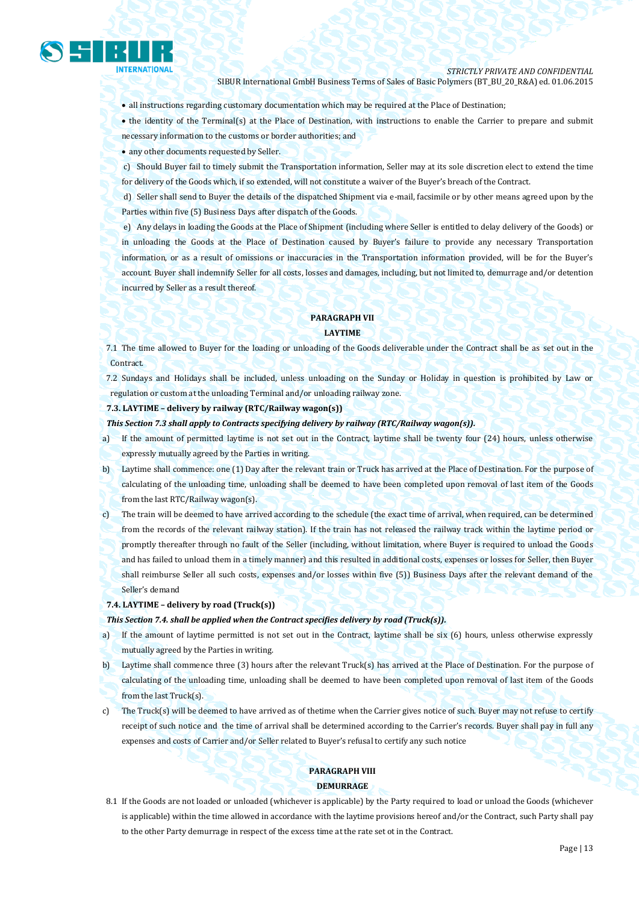

all instructions regarding customary documentation which may be required at the Place of Destination;

• the identity of the Terminal(s) at the Place of Destination, with instructions to enable the Carrier to prepare and submit necessary information to the customs or border authorities; and

any other documents requested by Seller.

c) Should Buyer fail to timely submit the Transportation information, Seller may at its sole discretion elect to extend the time for delivery of the Goods which, if so extended, will not constitute a waiver of the Buyer's breach of the Contract.

d) Seller shall send to Buyer the details of the dispatched Shipment via e-mail, facsimile or by other means agreed upon by the Parties within five (5) Business Days after dispatch of the Goods.

e) Any delays in loading the Goods at the Place of Shipment (including where Seller is entitled to delay delivery of the Goods) or in unloading the Goods at the Place of Destination caused by Buyer's failure to provide any necessary Transportation information, or as a result of omissions or inaccuracies in the Transportation information provided, will be for the Buyer's account. Buyer shall indemnify Seller for all costs, losses and damages, including, but not limited to, demurrage and/or detention incurred by Seller as a result thereof.

## **PARAGRAPH VII LAYTIME**

7.1 The time allowed to Buyer for the loading or unloading of the Goods deliverable under the Contract shall be as set out in the Contract.

7.2 Sundays and Holidays shall be included, unless unloading on the Sunday or Holiday in question is prohibited by Law or regulation or custom at the unloading Terminal and/or unloading railway zone.

## **7.3. LAYTIME – delivery by railway (RTC/Railway wagon(s))**

*This Section 7.3 shall apply to Contracts specifying delivery by railway (RTC/Railway wagon(s)).*

- a) If the amount of permitted laytime is not set out in the Contract, laytime shall be twenty four (24) hours, unless otherwise expressly mutually agreed by the Parties in writing.
- b) Laytime shall commence: one (1) Day after the relevant train or Truck has arrived at the Place of Destination. For the purpose of calculating of the unloading time, unloading shall be deemed to have been completed upon removal of last item of the Goods from the last RTC/Railway wagon(s).
- c) The train will be deemed to have arrived according to the schedule (the exact time of arrival, when required, can be determined from the records of the relevant railway station). If the train has not released the railway track within the laytime period or promptly thereafter through no fault of the Seller (including, without limitation, where Buyer is required to unload the Goods and has failed to unload them in a timely manner) and this resulted in additional costs, expenses or losses for Seller, then Buyer shall reimburse Seller all such costs, expenses and/or losses within five (5)) Business Days after the relevant demand of the Seller's demand

## **7.4. LAYTIME – delivery by road (Truck(s))**

#### *This Section 7.4. shall be applied when the Contract specifies delivery by road (Truck(s)).*

- a) If the amount of laytime permitted is not set out in the Contract, laytime shall be six (6) hours, unless otherwise expressly mutually agreed by the Parties in writing.
- b) Laytime shall commence three (3) hours after the relevant Truck(s) has arrived at the Place of Destination. For the purpose of calculating of the unloading time, unloading shall be deemed to have been completed upon removal of last item of the Goods from the last Truck(s).
- c) The Truck(s) will be deemed to have arrived as of thetime when the Carrier gives notice of such. Buyer may not refuse to certify receipt of such notice and the time of arrival shall be determined according to the Carrier's records. Buyer shall pay in full any expenses and costs of Carrier and/or Seller related to Buyer's refusal to certify any such notice

## **PARAGRAPH VIII DEMURRAGE**

8.1 If the Goods are not loaded or unloaded (whichever is applicable) by the Party required to load or unload the Goods (whichever is applicable) within the time allowed in accordance with the laytime provisions hereof and/or the Contract, such Party shall pay to the other Party demurrage in respect of the excess time at the rate set ot in the Contract.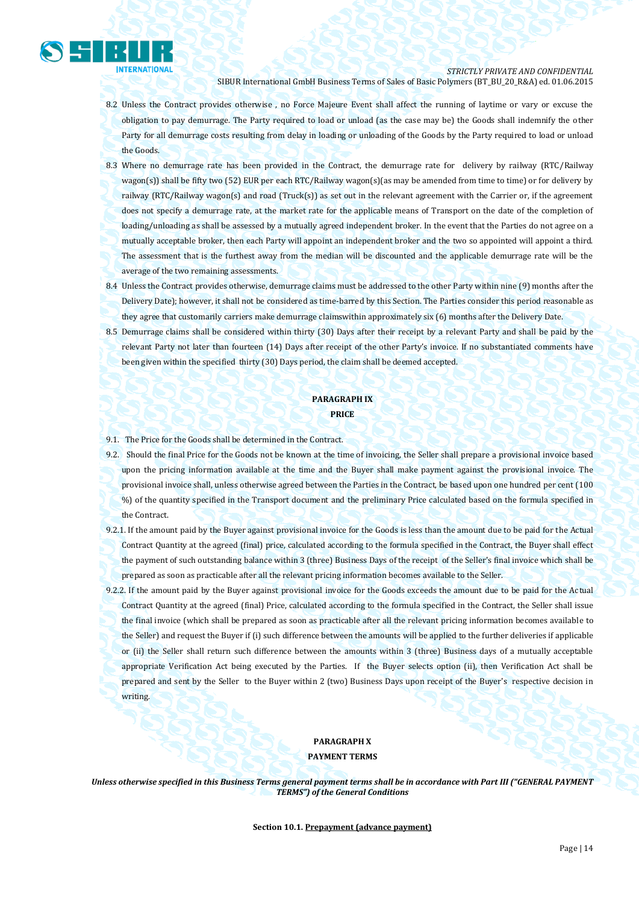

*STRICTLY PRIVATE AND CONFIDENTIAL*

SIBUR International GmbH Business Terms of Sales of Basic Polymers (BT\_BU\_20\_R&A) ed. 01.06.2015

- 8.2 Unless the Contract provides otherwise , no Force Majeure Event shall affect the running of laytime or vary or excuse the obligation to pay demurrage. The Party required to load or unload (as the case may be) the Goods shall indemnify the other Party for all demurrage costs resulting from delay in loading or unloading of the Goods by the Party required to load or unload the Goods.
- 8.3 Where no demurrage rate has been provided in the Contract, the demurrage rate for delivery by railway (RTC/Railway wagon(s)) shall be fifty two (52) EUR per each RTC/Railway wagon(s)(as may be amended from time to time) or for delivery by railway (RTC/Railway wagon(s) and road (Truck(s)) as set out in the relevant agreement with the Carrier or, if the agreement does not specify a demurrage rate, at the market rate for the applicable means of Transport on the date of the completion of loading/unloading as shall be assessed by a mutually agreed independent broker. In the event that the Parties do not agree on a mutually acceptable broker, then each Party will appoint an independent broker and the two so appointed will appoint a third. The assessment that is the furthest away from the median will be discounted and the applicable demurrage rate will be the average of the two remaining assessments.
- 8.4 Unless the Contract provides otherwise, demurrage claims must be addressed to the other Party within nine (9) months after the Delivery Date); however, it shall not be considered as time-barred by this Section. The Parties consider this period reasonable as they agree that customarily carriers make demurrage claimswithin approximately six (6) months after the Delivery Date.
- 8.5 Demurrage claims shall be considered within thirty (30) Days after their receipt by a relevant Party and shall be paid by the relevant Party not later than fourteen (14) Days after receipt of the other Party's invoice. If no substantiated comments have been given within the specified thirty (30) Days period, the claim shall be deemed accepted.

## **PARAGRAPH IX PRICE**

- 9.1. The Price for the Goods shall be determined in the Contract.
- 9.2. Should the final Price for the Goods not be known at the time of invoicing, the Seller shall prepare a provisional invoice based upon the pricing information available at the time and the Buyer shall make payment against the provisional invoice. The provisional invoice shall, unless otherwise agreed between the Parties in the Contract, be based upon one hundred per cent (100 %) of the quantity specified in the Transport document and the preliminary Price calculated based on the formula specified in the Contract.
- 9.2.1. If the amount paid by the Buyer against provisional invoice for the Goods is less than the amount due to be paid for the Actual Contract Quantity at the agreed (final) price, calculated according to the formula specified in the Contract, the Buyer shall effect the payment of such outstanding balance within 3 (three) Business Days of the receipt of the Seller's final invoice which shall be prepared as soon as practicable after all the relevant pricing information becomes available to the Seller.
- 9.2.2. If the amount paid by the Buyer against provisional invoice for the Goods exceeds the amount due to be paid for the Actual Contract Quantity at the agreed (final) Price, calculated according to the formula specified in the Contract, the Seller shall issue the final invoice (which shall be prepared as soon as practicable after all the relevant pricing information becomes available to the Seller) and request the Buyer if (i) such difference between the amounts will be applied to the further deliveries if applicable or (ii) the Seller shall return such difference between the amounts within 3 (three) Business days of a mutually acceptable appropriate Verification Act being executed by the Parties. If the Buyer selects option (ii), then Verification Act shall be prepared and sent by the Seller to the Buyer within 2 (two) Business Days upon receipt of the Buyer's respective decision in writing.

## **PARAGRAPH X**

**PAYMENT TERMS**

*Unless otherwise specified in this Business Terms general payment terms shall be in accordance with Part III ("GENERAL PAYMENT TERMS") of the General Conditions*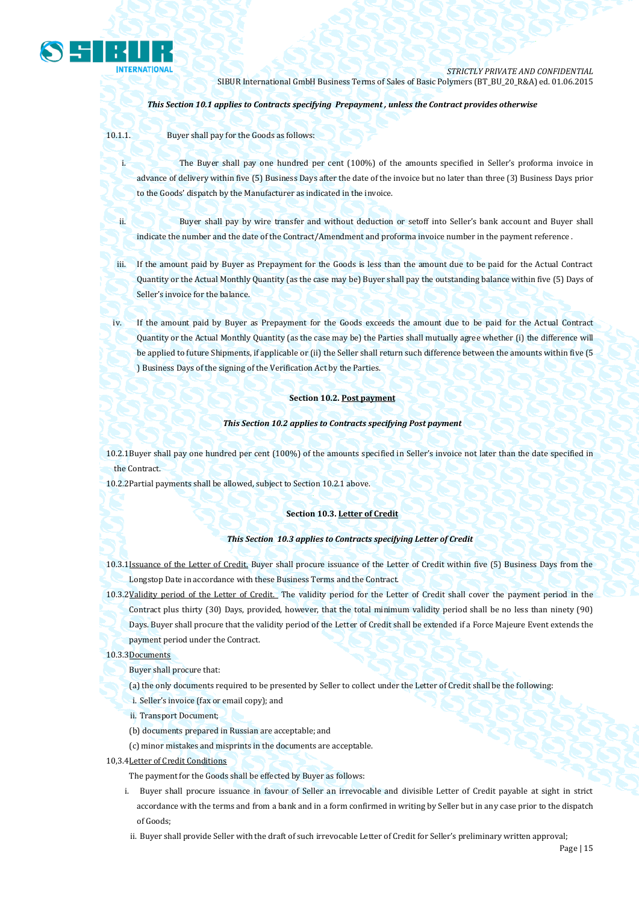

## *This Section 10.1 applies to Contracts specifying Prepayment , unless the Contract provides otherwise*

10.1.1. Buyer shall pay for the Goods as follows:

i. The Buyer shall pay one hundred per cent (100%) of the amounts specified in Seller's proforma invoice in advance of delivery within five (5) Business Days after the date of the invoice but no later than three (3) Business Days prior to the Goods' dispatch by the Manufacturer as indicated in the invoice.

ii. Buyer shall pay by wire transfer and without deduction or setoff into Seller's bank account and Buyer shall indicate the number and the date of the Contract/Amendment and proforma invoice number in the payment reference .

iii. If the amount paid by Buyer as Prepayment for the Goods is less than the amount due to be paid for the Actual Contract Quantity or the Actual Monthly Quantity (as the case may be) Buyer shall pay the outstanding balance within five (5) Days of Seller's invoice for the balance.

iv. If the amount paid by Buyer as Prepayment for the Goods exceeds the amount due to be paid for the Actual Contract Quantity or the Actual Monthly Quantity (as the case may be) the Parties shall mutually agree whether (i) the difference will be applied to future Shipments, if applicable or (ii) the Seller shall return such difference between the amounts within five (5 ) Business Days of the signing of the Verification Act by the Parties.

## **Section 10.2. Post payment**

#### *This Section 10.2 applies to Contracts specifying Post payment*

10.2.1Buyer shall pay one hundred per cent (100%) of the amounts specified in Seller's invoice not later than the date specified in the Contract.

10.2.2Partial payments shall be allowed, subject to Section 10.2.1 above.

### **Section 10.3. Letter of Credit**

#### *This Section 10.3 applies to Contracts specifying Letter of Credit*

10.3.1Issuance of the Letter of Credit. Buyer shall procure issuance of the Letter of Credit within five (5) Business Days from the Longstop Date in accordance with these Business Terms and the Contract.

10.3.2Validity period of the Letter of Credit. The validity period for the Letter of Credit shall cover the payment period in the Contract plus thirty (30) Days, provided, however, that the total minimum validity period shall be no less than ninety (90) Days. Buyer shall procure that the validity period of the Letter of Credit shall be extended if a Force Majeure Event extends the payment period under the Contract.

#### 10.3.3Documents

Buyer shall procure that:

(a) the only documents required to be presented by Seller to collect under the Letter of Credit shall be the following:

i. Seller's invoice (fax or email copy); and

- ii. Transport Document;
- (b) documents prepared in Russian are acceptable; and
- (c) minor mistakes and misprints in the documents are acceptable.
- 10,3.4Letter of Credit Conditions

The payment for the Goods shall be effected by Buyer as follows:

i. Buyer shall procure issuance in favour of Seller an irrevocable and divisible Letter of Credit payable at sight in strict accordance with the terms and from a bank and in a form confirmed in writing by Seller but in any case prior to the dispatch of Goods;

ii. Buyer shall provide Seller with the draft of such irrevocable Letter of Credit for Seller's preliminary written approval;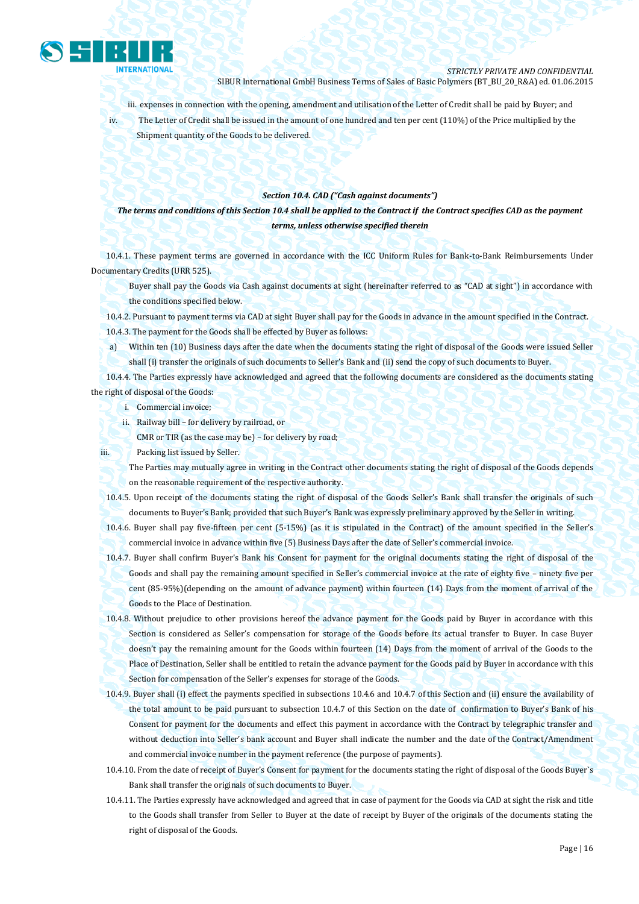

iii. expenses in connection with the opening, amendment and utilisation of the Letter of Credit shall be paid by Buyer; and iv. The Letter of Credit shall be issued in the amount of one hundred and ten per cent (110%) of the Price multiplied by the Shipment quantity of the Goods to be delivered.

### *Section 10.4. CAD ("Cash against documents")*

*The terms and conditions of this Section 10.4 shall be applied to the Contract if the Contract specifies CAD as the payment terms, unless otherwise specified therein*

10.4.1. These payment terms are governed in accordance with the ICC Uniform Rules for Bank-to-Bank Reimbursements Under Documentary Credits (URR 525).

Buyer shall pay the Goods via Cash against documents at sight (hereinafter referred to as "CAD at sight") in accordance with the conditions specified below.

10.4.2. Pursuant to payment terms via CAD at sight Buyer shall pay for the Goods in advance in the amount specified in the Contract. 10.4.3. The payment for the Goods shall be effected by Buyer as follows:

a) Within ten (10) Business days after the date when the documents stating the right of disposal of the Goods were issued Seller shall (i) transfer the originals of such documents to Seller's Bank and (ii) send the copy of such documents to Buyer.

10.4.4. The Parties expressly have acknowledged and agreed that the following documents are considered as the documents stating the right of disposal of the Goods:

i. Commercial invoice;

ii. Railway bill – for delivery by railroad, or

CMR or TIR (as the case may be) – for delivery by road;

iii. Packing list issued by Seller.

The Parties may mutually agree in writing in the Contract other documents stating the right of disposal of the Goods depends on the reasonable requirement of the respective authority.

10.4.5. Upon receipt of the documents stating the right of disposal of the Goods Seller's Bank shall transfer the originals of such documents to Buyer's Bank; provided that such Buyer's Bank was expressly preliminary approved by the Seller in writing.

10.4.6. Buyer shall pay five-fifteen per cent (5-15%) (as it is stipulated in the Contract) of the amount specified in the Seller's commercial invoice in advance within five (5) Business Days after the date of Seller's commercial invoice.

10.4.7. Buyer shall confirm Buyer's Bank his Consent for payment for the original documents stating the right of disposal of the Goods and shall pay the remaining amount specified in Seller's commercial invoice at the rate of eighty five – ninety five per cent (85-95%)(depending on the amount of advance payment) within fourteen (14) Days from the moment of arrival of the Goods to the Place of Destination.

10.4.8. Without prejudice to other provisions hereof the advance payment for the Goods paid by Buyer in accordance with this Section is considered as Seller's compensation for storage of the Goods before its actual transfer to Buyer. In case Buyer doesn't pay the remaining amount for the Goods within fourteen (14) Days from the moment of arrival of the Goods to the Place of Destination, Seller shall be entitled to retain the advance payment for the Goods paid by Buyer in accordance with this Section for compensation of the Seller's expenses for storage of the Goods.

- 10.4.9. Buyer shall (i) effect the payments specified in subsections 10.4.6 and 10.4.7 of this Section and (ii) ensure the availability of the total amount to be paid pursuant to subsection 10.4.7 of this Section on the date of confirmation to Buyer's Bank of his Consent for payment for the documents and effect this payment in accordance with the Contract by telegraphic transfer and without deduction into Seller's bank account and Buyer shall indicate the number and the date of the Contract/Amendment and commercial invoice number in the payment reference (the purpose of payments).
- 10.4.10. From the date of receipt of Buyer's Consent for payment for the documents stating the right of disposal of the Goods Buyer`s Bank shall transfer the originals of such documents to Buyer.
- 10.4.11. The Parties expressly have acknowledged and agreed that in case of payment for the Goods via CAD at sight the risk and title to the Goods shall transfer from Seller to Buyer at the date of receipt by Buyer of the originals of the documents stating the right of disposal of the Goods.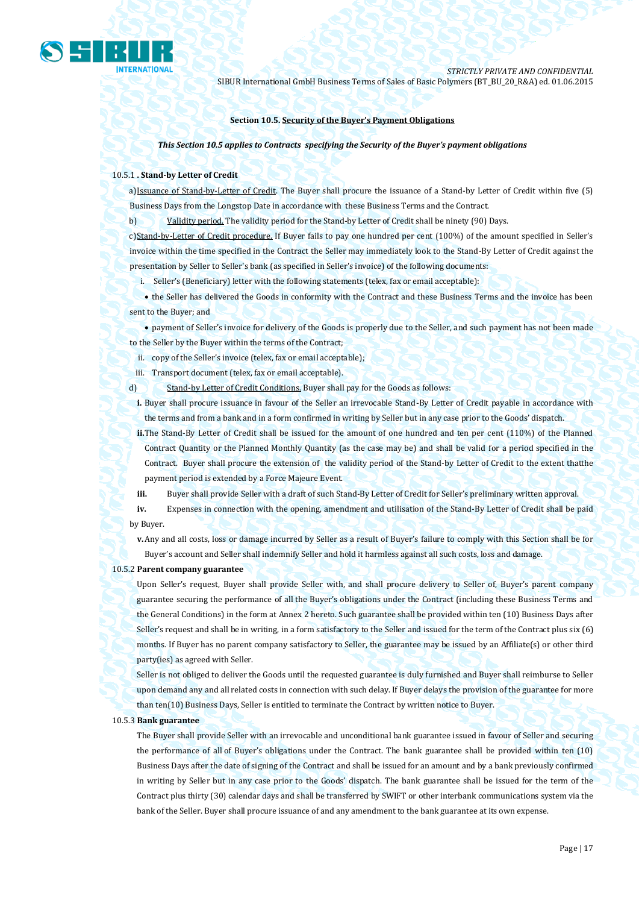

#### **Section 10.5. Security of the Buyer's Payment Obligations**

*This Section 10.5 applies to Contracts specifying the Security of the Buyer's payment obligations*

#### 10.5.1 **. Stand-by Letter of Credit**

a)Issuance of Stand-by-Letter of Credit. The Buyer shall procure the issuance of a Stand-by Letter of Credit within five (5) Business Days from the Longstop Date in accordance with these Business Terms and the Contract.

b) Validity period. The validity period for the Stand-by Letter of Credit shall be ninety (90) Days.

c)Stand-by-Letter of Credit procedure. If Buyer fails to pay one hundred per cent (100%) of the amount specified in Seller's invoice within the time specified in the Contract the Seller may immediately look to the Stand-By Letter of Credit against the presentation by Seller to Seller's bank (as specified in Seller's invoice) of the following documents:

i. Seller's (Beneficiary) letter with the following statements (telex, fax or email acceptable):

• the Seller has delivered the Goods in conformity with the Contract and these Business Terms and the invoice has been sent to the Buyer; and

 payment of Seller's invoice for delivery of the Goods is properly due to the Seller, and such payment has not been made to the Seller by the Buyer within the terms of the Contract;

ii. copy of the Seller's invoice (telex, fax or email acceptable);

iii. Transport document (telex, fax or email acceptable).

d) Stand-by Letter of Credit Conditions. Buyer shall pay for the Goods as follows:

**i.** Buyer shall procure issuance in favour of the Seller an irrevocable Stand-By Letter of Credit payable in accordance with the terms and from a bank and in a form confirmed in writing by Seller but in any case prior to the Goods' dispatch.

**ii.**The Stand-By Letter of Credit shall be issued for the amount of one hundred and ten per cent (110%) of the Planned Contract Quantity or the Planned Monthly Quantity (as the case may be) and shall be valid for a period specified in the Contract. Buyer shall procure the extension of the validity period of the Stand-by Letter of Credit to the extent thatthe payment period is extended by a Force Majeure Event.

**iii.** Buyer shall provide Seller with a draft of such Stand-By Letter of Credit for Seller's preliminary written approval.

**iv.** Expenses in connection with the opening, amendment and utilisation of the Stand-By Letter of Credit shall be paid by Buyer.

**v.**Any and all costs, loss or damage incurred by Seller as a result of Buyer's failure to comply with this Section shall be for Buyer's account and Seller shall indemnify Seller and hold it harmless against all such costs, loss and damage.

#### 10.5.2 **Parent company guarantee**

Upon Seller's request, Buyer shall provide Seller with, and shall procure delivery to Seller of, Buyer's parent company guarantee securing the performance of all the Buyer's obligations under the Contract (including these Business Terms and the General Conditions) in the form at Annex 2 hereto. Such guarantee shall be provided within ten (10) Business Days after Seller's request and shall be in writing, in a form satisfactory to the Seller and issued for the term of the Contract plus six (6) months. If Buyer has no parent company satisfactory to Seller, the guarantee may be issued by an Affiliate(s) or other third party(ies) as agreed with Seller.

Seller is not obliged to deliver the Goods until the requested guarantee is duly furnished and Buyer shall reimburse to Seller upon demand any and all related costs in connection with such delay. If Buyer delays the provision of the guarantee for more than ten(10) Business Days, Seller is entitled to terminate the Contract by written notice to Buyer.

### 10.5.3 **Bank guarantee**

The Buyer shall provide Seller with an irrevocable and unconditional bank guarantee issued in favour of Seller and securing the performance of all of Buyer's obligations under the Contract. The bank guarantee shall be provided within ten (10) Business Days after the date of signing of the Contract and shall be issued for an amount and by a bank previously confirmed in writing by Seller but in any case prior to the Goods' dispatch. The bank guarantee shall be issued for the term of the Contract plus thirty (30) calendar days and shall be transferred by SWIFT or other interbank communications system via the bank of the Seller. Buyer shall procure issuance of and any amendment to the bank guarantee at its own expense.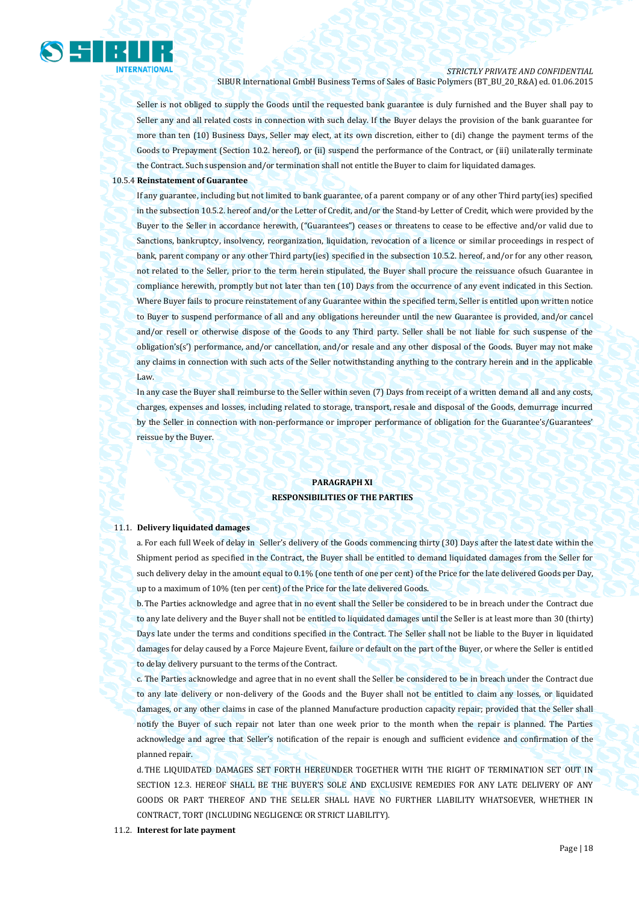

Seller is not obliged to supply the Goods until the requested bank guarantee is duly furnished and the Buyer shall pay to Seller any and all related costs in connection with such delay. If the Buyer delays the provision of the bank guarantee for more than ten (10) Business Days, Seller may elect, at its own discretion, either to (di) change the payment terms of the Goods to Prepayment (Section 10.2. hereof), or (ii) suspend the performance of the Contract, or (iii) unilaterally terminate the Contract. Such suspension and/or termination shall not entitle the Buyer to claim for liquidated damages.

## 10.5.4 **Reinstatement of Guarantee**

If any guarantee, including but not limited to bank guarantee, of a parent company or of any other Third party(ies) specified in the subsection 10.5.2. hereof and/or the Letter of Credit, and/or the Stand-by Letter of Credit, which were provided by the Buyer to the Seller in accordance herewith, ("Guarantees") ceases or threatens to cease to be effective and/or valid due to Sanctions, bankruptcy, insolvency, reorganization, liquidation, revocation of a licence or similar proceedings in respect of bank, parent company or any other Third party(ies) specified in the subsection 10.5.2. hereof, and/or for any other reason, not related to the Seller, prior to the term herein stipulated, the Buyer shall procure the reissuance ofsuch Guarantee in compliance herewith, promptly but not later than ten (10) Days from the occurrence of any event indicated in this Section. Where Buyer fails to procure reinstatement of any Guarantee within the specified term, Seller is entitled upon written notice to Buyer to suspend performance of all and any obligations hereunder until the new Guarantee is provided, and/or cancel and/or resell or otherwise dispose of the Goods to any Third party. Seller shall be not liable for such suspense of the obligation's(s') performance, and/or cancellation, and/or resale and any other disposal of the Goods. Buyer may not make any claims in connection with such acts of the Seller notwithstanding anything to the contrary herein and in the applicable Law.

In any case the Buyer shall reimburse to the Seller within seven (7) Days from receipt of a written demand all and any costs, charges, expenses and losses, including related to storage, transport, resale and disposal of the Goods, demurrage incurred by the Seller in connection with non-performance or improper performance of obligation for the Guarantee's/Guarantees' reissue by the Buyer.

## **PARAGRAPH XI RESPONSIBILITIES OF THE PARTIES**

#### 11.1. **Delivery liquidated damages**

a. For each full Week of delay in Seller's delivery of the Goods commencing thirty (30) Days after the latest date within the Shipment period as specified in the Contract, the Buyer shall be entitled to demand liquidated damages from the Seller for such delivery delay in the amount equal to 0.1% (one tenth of one per cent) of the Price for the late delivered Goods per Day, up to a maximum of 10% (ten per cent) of the Price for the late delivered Goods.

b.The Parties acknowledge and agree that in no event shall the Seller be considered to be in breach under the Contract due to any late delivery and the Buyer shall not be entitled to liquidated damages until the Seller is at least more than 30 (thirty) Days late under the terms and conditions specified in the Contract. The Seller shall not be liable to the Buyer in liquidated damages for delay caused by a Force Majeure Event, failure or default on the part of the Buyer, or where the Seller is entitled to delay delivery pursuant to the terms of the Contract.

c. The Parties acknowledge and agree that in no event shall the Seller be considered to be in breach under the Contract due to any late delivery or non-delivery of the Goods and the Buyer shall not be entitled to claim any losses, or liquidated damages, or any other claims in case of the planned Manufacture production capacity repair; provided that the Seller shall notify the Buyer of such repair not later than one week prior to the month when the repair is planned. The Parties acknowledge and agree that Seller's notification of the repair is enough and sufficient evidence and confirmation of the planned repair.

d.THE LIQUIDATED DAMAGES SET FORTH HEREUNDER TOGETHER WITH THE RIGHT OF TERMINATION SET OUT IN SECTION 12.3. HEREOF SHALL BE THE BUYER'S SOLE AND EXCLUSIVE REMEDIES FOR ANY LATE DELIVERY OF ANY GOODS OR PART THEREOF AND THE SELLER SHALL HAVE NO FURTHER LIABILITY WHATSOEVER, WHETHER IN CONTRACT, TORT (INCLUDING NEGLIGENCE OR STRICT LIABILITY).

#### 11.2. **Interest for late payment**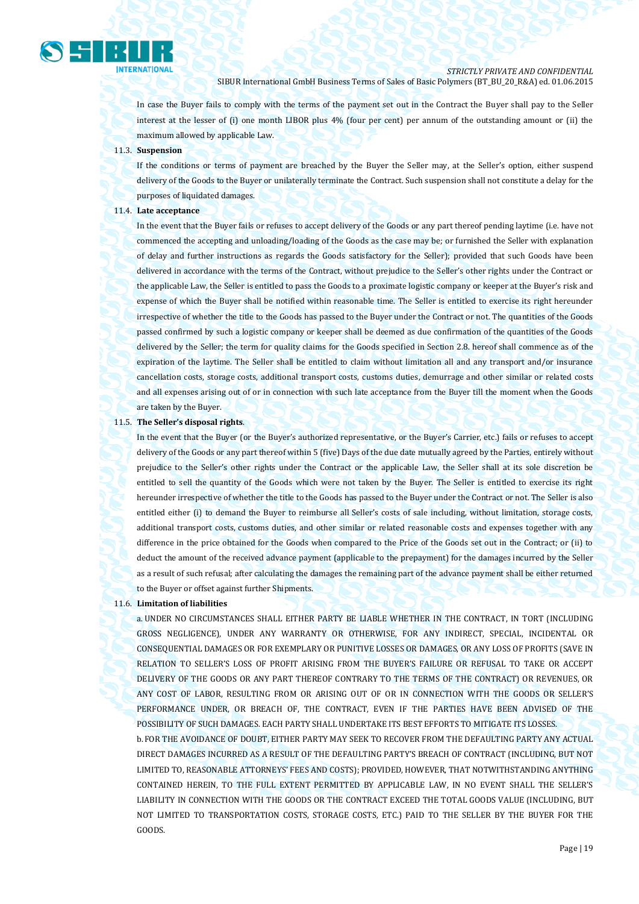

In case the Buyer fails to comply with the terms of the payment set out in the Contract the Buyer shall pay to the Seller interest at the lesser of (i) one month LIBOR plus 4% (four per cent) per annum of the outstanding amount or (ii) the maximum allowed by applicable Law.

#### 11.3. **Suspension**

If the conditions or terms of payment are breached by the Buyer the Seller may, at the Seller's option, either suspend delivery of the Goods to the Buyer or unilaterally terminate the Contract. Such suspension shall not constitute a delay for the purposes of liquidated damages.

## 11.4. **Late acceptance**

In the event that the Buyer fails or refuses to accept delivery of the Goods or any part thereof pending laytime (i.e. have not commenced the accepting and unloading/loading of the Goods as the case may be; or furnished the Seller with explanation of delay and further instructions as regards the Goods satisfactory for the Seller); provided that such Goods have been delivered in accordance with the terms of the Contract, without prejudice to the Seller's other rights under the Contract or the applicable Law, the Seller is entitled to pass the Goods to a proximate logistic company or keeper at the Buyer's risk and expense of which the Buyer shall be notified within reasonable time. The Seller is entitled to exercise its right hereunder irrespective of whether the title to the Goods has passed to the Buyer under the Contract or not. The quantities of the Goods passed confirmed by such a logistic company or keeper shall be deemed as due confirmation of the quantities of the Goods delivered by the Seller; the term for quality claims for the Goods specified in Section 2.8. hereof shall commence as of the expiration of the laytime. The Seller shall be entitled to claim without limitation all and any transport and/or insurance cancellation costs, storage costs, additional transport costs, customs duties, demurrage and other similar or related costs and all expenses arising out of or in connection with such late acceptance from the Buyer till the moment when the Goods are taken by the Buyer.

#### 11.5. **The Seller's disposal rights**.

In the event that the Buyer (or the Buyer's authorized representative, or the Buyer's Carrier, etc.) fails or refuses to accept delivery of the Goods or any part thereof within 5 (five) Days of the due date mutually agreed by the Parties, entirely without prejudice to the Seller's other rights under the Contract or the applicable Law, the Seller shall at its sole discretion be entitled to sell the quantity of the Goods which were not taken by the Buyer. The Seller is entitled to exercise its right hereunder irrespective of whether the title to the Goods has passed to the Buyer under the Contract or not. The Seller is also entitled either (i) to demand the Buyer to reimburse all Seller's costs of sale including, without limitation, storage costs, additional transport costs, customs duties, and other similar or related reasonable costs and expenses together with any difference in the price obtained for the Goods when compared to the Price of the Goods set out in the Contract; or (ii) to deduct the amount of the received advance payment (applicable to the prepayment) for the damages incurred by the Seller as a result of such refusal; after calculating the damages the remaining part of the advance payment shall be either returned to the Buyer or offset against further Shipments.

## 11.6. **Limitation of liabilities**

a. UNDER NO CIRCUMSTANCES SHALL EITHER PARTY BE LIABLE WHETHER IN THE CONTRACT, IN TORT (INCLUDING GROSS NEGLIGENCE), UNDER ANY WARRANTY OR OTHERWISE, FOR ANY INDIRECT, SPECIAL, INCIDENTAL OR CONSEQUENTIAL DAMAGES OR FOR EXEMPLARY OR PUNITIVE LOSSES OR DAMAGES, OR ANY LOSS OF PROFITS (SAVE IN RELATION TO SELLER'S LOSS OF PROFIT ARISING FROM THE BUYER'S FAILURE OR REFUSAL TO TAKE OR ACCEPT DELIVERY OF THE GOODS OR ANY PART THEREOF CONTRARY TO THE TERMS OF THE CONTRACT) OR REVENUES, OR ANY COST OF LABOR, RESULTING FROM OR ARISING OUT OF OR IN CONNECTION WITH THE GOODS OR SELLER'S PERFORMANCE UNDER, OR BREACH OF, THE CONTRACT, EVEN IF THE PARTIES HAVE BEEN ADVISED OF THE POSSIBILITY OF SUCH DAMAGES. EACH PARTY SHALL UNDERTAKE ITS BEST EFFORTS TO MITIGATE ITS LOSSES.

b.FOR THE AVOIDANCE OF DOUBT, EITHER PARTY MAY SEEK TO RECOVER FROM THE DEFAULTING PARTY ANY ACTUAL DIRECT DAMAGES INCURRED AS A RESULT OF THE DEFAULTING PARTY'S BREACH OF CONTRACT (INCLUDING, BUT NOT LIMITED TO, REASONABLE ATTORNEYS' FEES AND COSTS); PROVIDED, HOWEVER, THAT NOTWITHSTANDING ANYTHING CONTAINED HEREIN, TO THE FULL EXTENT PERMITTED BY APPLICABLE LAW, IN NO EVENT SHALL THE SELLER'S LIABILITY IN CONNECTION WITH THE GOODS OR THE CONTRACT EXCEED THE TOTAL GOODS VALUE (INCLUDING, BUT NOT LIMITED TO TRANSPORTATION COSTS, STORAGE COSTS, ETC.) PAID TO THE SELLER BY THE BUYER FOR THE GOODS.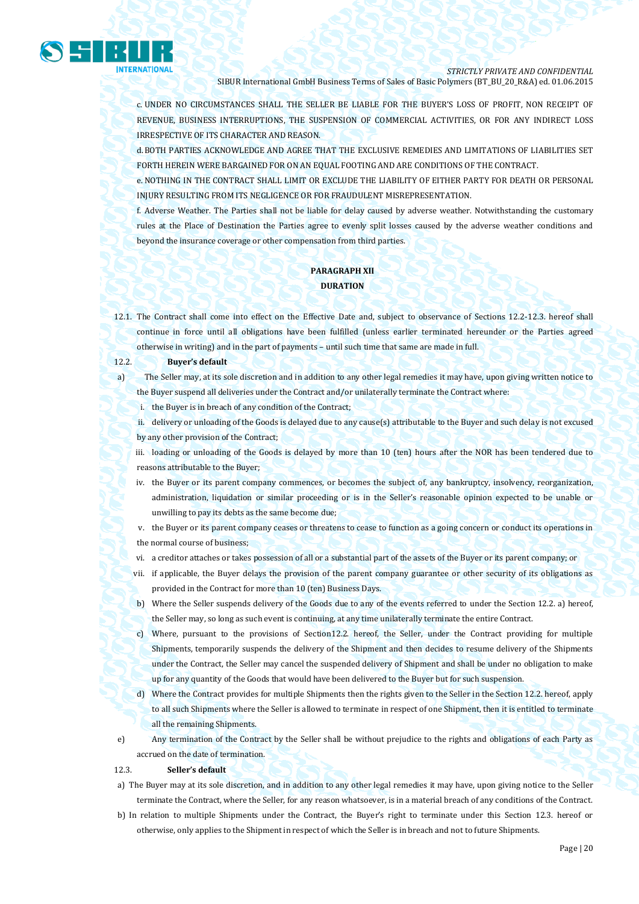

c. UNDER NO CIRCUMSTANCES SHALL THE SELLER BE LIABLE FOR THE BUYER'S LOSS OF PROFIT, NON RECEIPT OF REVENUE, BUSINESS INTERRUPTIONS, THE SUSPENSION OF COMMERCIAL ACTIVITIES, OR FOR ANY INDIRECT LOSS IRRESPECTIVE OF ITS CHARACTER AND REASON.

d.BOTH PARTIES ACKNOWLEDGE AND AGREE THAT THE EXCLUSIVE REMEDIES AND LIMITATIONS OF LIABILITIES SET FORTH HEREIN WERE BARGAINED FOR ON AN EQUAL FOOTING AND ARE CONDITIONS OF THE CONTRACT.

e. NOTHING IN THE CONTRACT SHALL LIMIT OR EXCLUDE THE LIABILITY OF EITHER PARTY FOR DEATH OR PERSONAL INJURY RESULTING FROM ITS NEGLIGENCE OR FOR FRAUDULENT MISREPRESENTATION.

f. Adverse Weather. The Parties shall not be liable for delay caused by adverse weather. Notwithstanding the customary rules at the Place of Destination the Parties agree to evenly split losses caused by the adverse weather conditions and beyond the insurance coverage or other compensation from third parties.

## **PARAGRAPH XII DURATION**

12.1. The Contract shall come into effect on the Effective Date and, subject to observance of Sections 12.2-12.3. hereof shall continue in force until all obligations have been fulfilled (unless earlier terminated hereunder or the Parties agreed otherwise in writing) and in the part of payments – until such time that same are made in full.

## 12.2. **Buyer's default**

a) The Seller may, at its sole discretion and in addition to any other legal remedies it may have, upon giving written notice to the Buyer suspend all deliveries under the Contract and/or unilaterally terminate the Contract where:

i. the Buyer is in breach of any condition of the Contract;

ii. delivery or unloading of the Goods is delayed due to any cause(s) attributable to the Buyer and such delay is not excused by any other provision of the Contract;

iii. loading or unloading of the Goods is delayed by more than 10 (ten) hours after the NOR has been tendered due to reasons attributable to the Buyer;

- iv. the Buyer or its parent company commences, or becomes the subject of, any bankruptcy, insolvency, reorganization, administration, liquidation or similar proceeding or is in the Seller's reasonable opinion expected to be unable or unwilling to pay its debts as the same become due;
- v. the Buyer or its parent company ceases or threatens to cease to function as a going concern or conduct its operations in the normal course of business;
- vi. a creditor attaches or takes possession of all or a substantial part of the assets of the Buyer or its parent company; or
- vii. if applicable, the Buyer delays the provision of the parent company guarantee or other security of its obligations as provided in the Contract for more than 10 (ten) Business Days.
- b) Where the Seller suspends delivery of the Goods due to any of the events referred to under the Section 12.2. a) hereof, the Seller may, so long as such event is continuing, at any time unilaterally terminate the entire Contract.
- c) Where, pursuant to the provisions of Section12.2. hereof, the Seller, under the Contract providing for multiple Shipments, temporarily suspends the delivery of the Shipment and then decides to resume delivery of the Shipments under the Contract, the Seller may cancel the suspended delivery of Shipment and shall be under no obligation to make up for any quantity of the Goods that would have been delivered to the Buyer but for such suspension.
- d) Where the Contract provides for multiple Shipments then the rights given to the Seller in the Section 12.2. hereof, apply to all such Shipments where the Seller is allowed to terminate in respect of one Shipment, then it is entitled to terminate all the remaining Shipments.
- e) Any termination of the Contract by the Seller shall be without prejudice to the rights and obligations of each Party as accrued on the date of termination.

#### 12.3. **Seller's default**

- a) The Buyer may at its sole discretion, and in addition to any other legal remedies it may have, upon giving notice to the Seller terminate the Contract, where the Seller, for any reason whatsoever, is in a material breach of any conditions of the Contract.
- b) In relation to multiple Shipments under the Contract, the Buyer's right to terminate under this Section 12.3. hereof or otherwise, only applies to the Shipment in respect of which the Seller is in breach and not to future Shipments.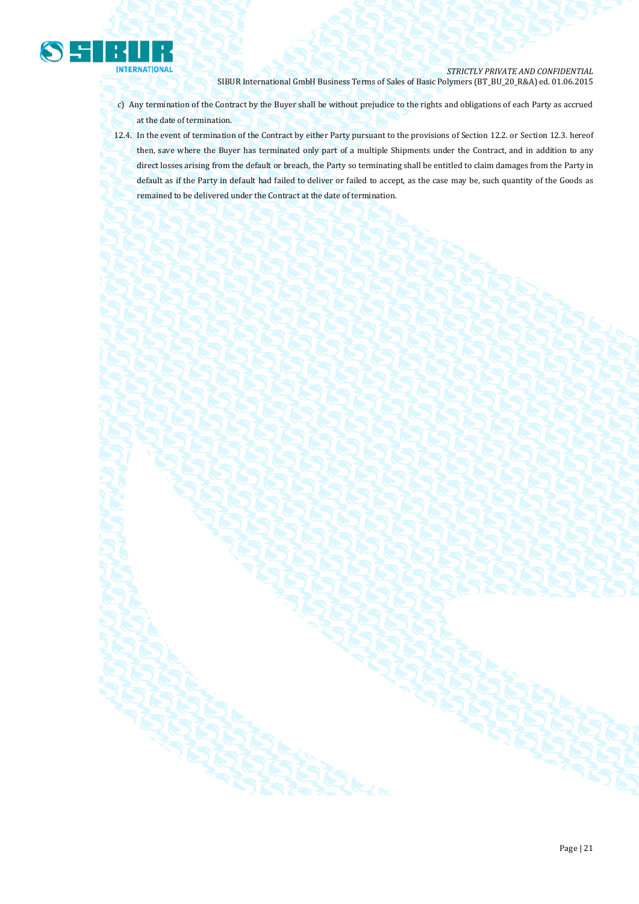

- c) Any termination of the Contract by the Buyer shall be without prejudice to the rights and obligations of each Party as accrued at the date of termination.
- 12.4. In the event of termination of the Contract by either Party pursuant to the provisions of Section 12.2. or Section 12.3. hereof then, save where the Buyer has terminated only part of a multiple Shipments under the Contract, and in addition to any direct losses arising from the default or breach, the Party so terminating shall be entitled to claim damages from the Party in default as if the Party in default had failed to deliver or failed to accept, as the case may be, such quantity of the Goods as remained to be delivered under the Contract at the date of termination.

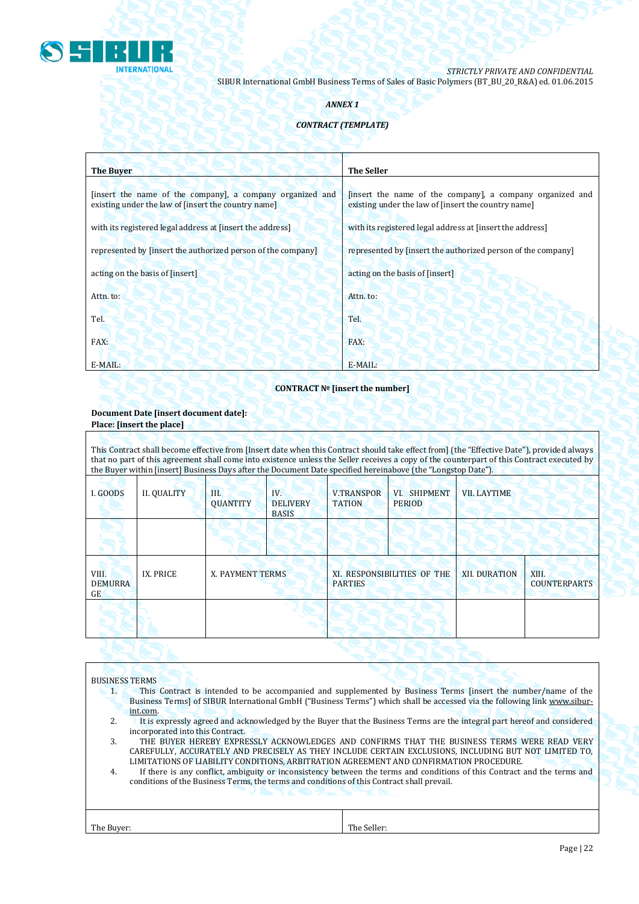

## *ANNEX 1*

## *CONTRACT (TEMPLATE)*

| <b>The Buyer</b>                                                                                                 | <b>The Seller</b>                                                                                                |
|------------------------------------------------------------------------------------------------------------------|------------------------------------------------------------------------------------------------------------------|
| [insert the name of the company], a company organized and<br>existing under the law of [insert the country name] | [insert the name of the company], a company organized and<br>existing under the law of [insert the country name] |
| with its registered legal address at finsert the address                                                         | with its registered legal address at [insert the address]                                                        |
| represented by [insert the authorized person of the company]                                                     | represented by [insert the authorized person of the company]                                                     |
| acting on the basis of [insert]                                                                                  | acting on the basis of [insert]                                                                                  |
| Attn. to:                                                                                                        | Attn. to:                                                                                                        |
| Tel.                                                                                                             | Tel.                                                                                                             |
| FAX:                                                                                                             | FAX:                                                                                                             |
| E-MAIL:                                                                                                          | E-MAIL:                                                                                                          |

## **CONTRACT № [insert the number]**

## **Document Date [insert document date]: Place: [insert the place]**

This Contract shall become effective from [Insert date when this Contract should take effect from] (the "Effective Date"), provided always that no part of this agreement shall come into existence unless the Seller receives a copy of the counterpart of this Contract executed by the Buyer within [insert] Business Days after the Document Date specified hereinabove (the "Longstop Date").

| I. GOODS                      | <b>II. QUALITY</b> | III.<br><b>QUANTITY</b> | IV.<br><b>DELIVERY</b><br><b>BASIS</b> | <b>V.TRANSPOR</b><br><b>TATION</b>            | VI. SHIPMENT<br><b>PERIOD</b> | <b>VII. LAYTIME</b>  |                              |
|-------------------------------|--------------------|-------------------------|----------------------------------------|-----------------------------------------------|-------------------------------|----------------------|------------------------------|
|                               |                    |                         |                                        |                                               |                               |                      |                              |
| VIII.<br><b>DEMURRA</b><br>GE | IX. PRICE          | X. PAYMENT TERMS        |                                        | XI. RESPONSIBILITIES OF THE<br><b>PARTIES</b> |                               | <b>XII. DURATION</b> | XIII.<br><b>COUNTERPARTS</b> |
|                               |                    |                         |                                        |                                               |                               |                      |                              |

## BUSINESS TERMS

- 1. This Contract is intended to be accompanied and supplemented by Business Terms [insert the number/name of the Business Terms] of SIBUR International GmbH ("Business Terms") which shall be accessed via the following link [www.sibur](http://www.sibur-int.com/)[int.com.](http://www.sibur-int.com/)
- 2. It is expressly agreed and acknowledged by the Buyer that the Business Terms are the integral part hereof and considered incorporated into this Contract.
- 3. THE BUYER HEREBY EXPRESSLY ACKNOWLEDGES AND CONFIRMS THAT THE BUSINESS TERMS WERE READ VERY CAREFULLY, ACCURATELY AND PRECISELY AS THEY INCLUDE CERTAIN EXCLUSIONS, INCLUDING BUT NOT LIMITED TO, LIMITATIONS OF LIABILITY CONDITIONS, ARBITRATION AGREEMENT AND CONFIRMATION PROCEDURE.
- 4. If there is any conflict, ambiguity or inconsistency between the terms and conditions of this Contract and the terms and conditions of the Business Terms, the terms and conditions of this Contract shall prevail.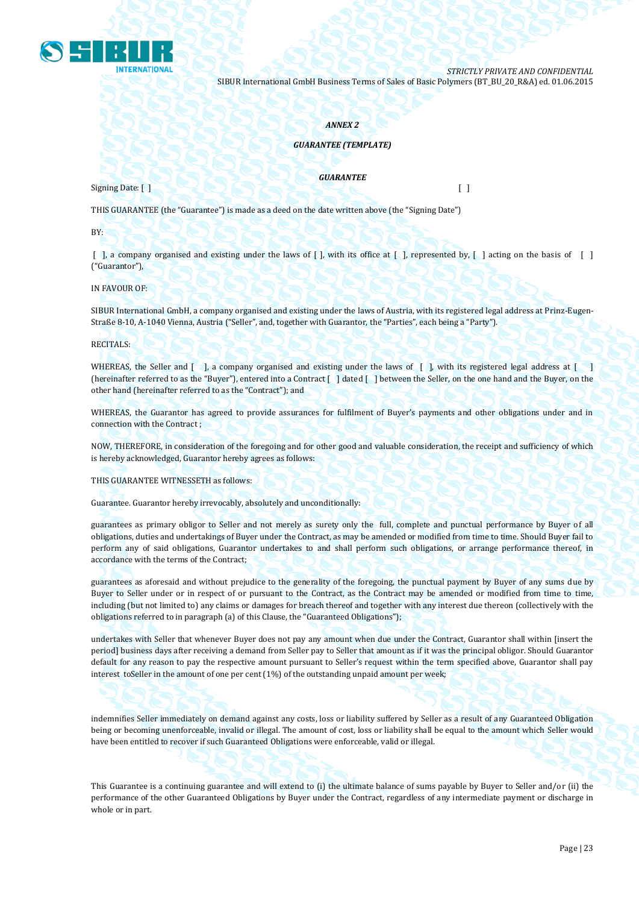

## *ANNEX 2*

## *GUARANTEE (TEMPLATE)*

Signing Date: [ ] [ ]

*GUARANTEE*

THIS GUARANTEE (the "Guarantee") is made as a deed on the date written above (the "Signing Date")

BY:

 $\lceil$ , a company organised and existing under the laws of  $\lceil$ , with its office at  $\lceil$ , represented by,  $\lceil$ , acting on the basis of  $\lceil$ ("Guarantor"),

IN FAVOUR OF:

SIBUR International GmbH, a company organised and existing under the laws of Austria, with its registered legal address at Prinz-Eugen-Straße 8-10, A-1040 Vienna, Austria ("Seller", and, together with Guarantor, the "Parties", each being a "Party").

RECITALS:

WHEREAS, the Seller and [ ], a company organised and existing under the laws of [ ], with its registered legal address at [ ] (hereinafter referred to as the "Buyer"), entered into a Contract [ ] dated [ ] between the Seller, on the one hand and the Buyer, on the other hand (hereinafter referred to as the "Contract"); and

WHEREAS, the Guarantor has agreed to provide assurances for fulfilment of Buyer's payments and other obligations under and in connection with the Contract ;

NOW, THEREFORE, in consideration of the foregoing and for other good and valuable consideration, the receipt and sufficiency of which is hereby acknowledged, Guarantor hereby agrees as follows:

THIS GUARANTEE WITNESSETH as follows:

Guarantee. Guarantor hereby irrevocably, absolutely and unconditionally:

guarantees as primary obligor to Seller and not merely as surety only the full, complete and punctual performance by Buyer of all obligations, duties and undertakings of Buyer under the Contract, as may be amended or modified from time to time. Should Buyer fail to perform any of said obligations, Guarantor undertakes to and shall perform such obligations, or arrange performance thereof, in accordance with the terms of the Contract;

guarantees as aforesaid and without prejudice to the generality of the foregoing, the punctual payment by Buyer of any sums due by Buyer to Seller under or in respect of or pursuant to the Contract, as the Contract may be amended or modified from time to time, including (but not limited to) any claims or damages for breach thereof and together with any interest due thereon (collectively with the obligations referred to in paragraph (a) of this Clause, the "Guaranteed Obligations");

undertakes with Seller that whenever Buyer does not pay any amount when due under the Contract, Guarantor shall within [insert the period] business days after receiving a demand from Seller pay to Seller that amount as if it was the principal obligor. Should Guarantor default for any reason to pay the respective amount pursuant to Seller's request within the term specified above, Guarantor shall pay interest toSeller in the amount of one per cent (1%) of the outstanding unpaid amount per week;

indemnifies Seller immediately on demand against any costs, loss or liability suffered by Seller as a result of any Guaranteed Obligation being or becoming unenforceable, invalid or illegal. The amount of cost, loss or liability shall be equal to the amount which Seller would have been entitled to recover if such Guaranteed Obligations were enforceable, valid or illegal.

This Guarantee is a continuing guarantee and will extend to (i) the ultimate balance of sums payable by Buyer to Seller and/or (ii) the performance of the other Guaranteed Obligations by Buyer under the Contract, regardless of any intermediate payment or discharge in whole or in part.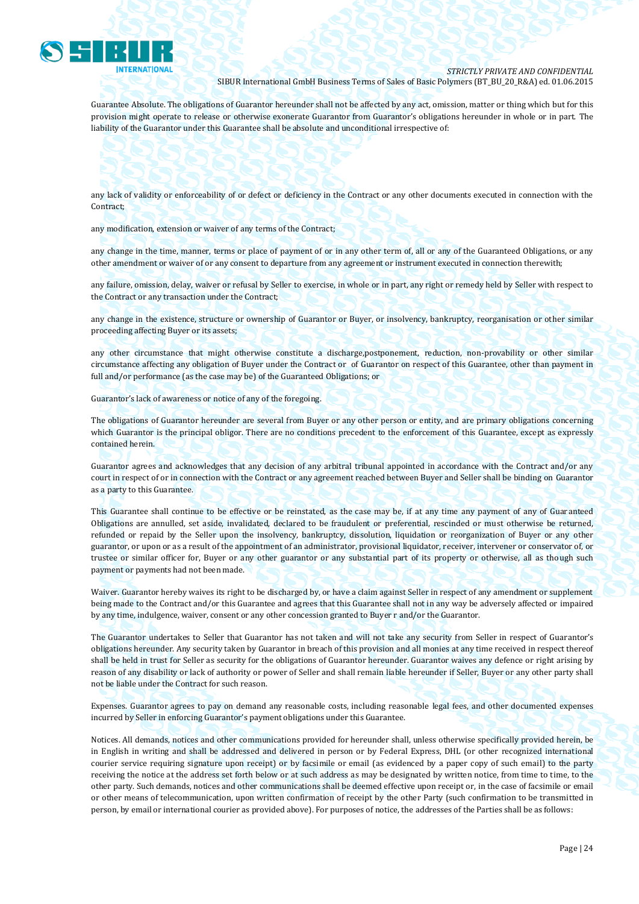

Guarantee Absolute. The obligations of Guarantor hereunder shall not be affected by any act, omission, matter or thing which but for this provision might operate to release or otherwise exonerate Guarantor from Guarantor's obligations hereunder in whole or in part. The liability of the Guarantor under this Guarantee shall be absolute and unconditional irrespective of:

any lack of validity or enforceability of or defect or deficiency in the Contract or any other documents executed in connection with the Contract;

any modification, extension or waiver of any terms of the Contract;

any change in the time, manner, terms or place of payment of or in any other term of, all or any of the Guaranteed Obligations, or any other amendment or waiver of or any consent to departure from any agreement or instrument executed in connection therewith;

any failure, omission, delay, waiver or refusal by Seller to exercise, in whole or in part, any right or remedy held by Seller with respect to the Contract or any transaction under the Contract;

any change in the existence, structure or ownership of Guarantor or Buyer, or insolvency, bankruptcy, reorganisation or other similar proceeding affecting Buyer or its assets;

any other circumstance that might otherwise constitute a discharge,postponement, reduction, non-provability or other similar circumstance affecting any obligation of Buyer under the Contract or of Guarantor on respect of this Guarantee, other than payment in full and/or performance (as the case may be) of the Guaranteed Obligations; or

Guarantor's lack of awareness or notice of any of the foregoing.

The obligations of Guarantor hereunder are several from Buyer or any other person or entity, and are primary obligations concerning which Guarantor is the principal obligor. There are no conditions precedent to the enforcement of this Guarantee, except as expressly contained herein.

Guarantor agrees and acknowledges that any decision of any arbitral tribunal appointed in accordance with the Contract and/or any court in respect of or in connection with the Contract or any agreement reached between Buyer and Seller shall be binding on Guarantor as a party to this Guarantee.

This Guarantee shall continue to be effective or be reinstated, as the case may be, if at any time any payment of any of Guaranteed Obligations are annulled, set aside, invalidated, declared to be fraudulent or preferential, rescinded or must otherwise be returned, refunded or repaid by the Seller upon the insolvency, bankruptcy, dissolution, liquidation or reorganization of Buyer or any other guarantor, or upon or as a result of the appointment of an administrator, provisional liquidator, receiver, intervener or conservator of, or trustee or similar officer for, Buyer or any other guarantor or any substantial part of its property or otherwise, all as though such payment or payments had not been made.

Waiver. Guarantor hereby waives its right to be discharged by, or have a claim against Seller in respect of any amendment or supplement being made to the Contract and/or this Guarantee and agrees that this Guarantee shall not in any way be adversely affected or impaired by any time, indulgence, waiver, consent or any other concession granted to Buyer r and/or the Guarantor.

The Guarantor undertakes to Seller that Guarantor has not taken and will not take any security from Seller in respect of Guarantor's obligations hereunder. Any security taken by Guarantor in breach of this provision and all monies at any time received in respect thereof shall be held in trust for Seller as security for the obligations of Guarantor hereunder. Guarantor waives any defence or right arising by reason of any disability or lack of authority or power of Seller and shall remain liable hereunder if Seller, Buyer or any other party shall not be liable under the Contract for such reason.

Expenses. Guarantor agrees to pay on demand any reasonable costs, including reasonable legal fees, and other documented expenses incurred by Seller in enforcing Guarantor's payment obligations under this Guarantee.

Notices. All demands, notices and other communications provided for hereunder shall, unless otherwise specifically provided herein, be in English in writing and shall be addressed and delivered in person or by Federal Express, DHL (or other recognized international courier service requiring signature upon receipt) or by facsimile or email (as evidenced by a paper copy of such email) to the party receiving the notice at the address set forth below or at such address as may be designated by written notice, from time to time, to the other party. Such demands, notices and other communications shall be deemed effective upon receipt or, in the case of facsimile or email or other means of telecommunication, upon written confirmation of receipt by the other Party (such confirmation to be transmitted in person, by email or international courier as provided above). For purposes of notice, the addresses of the Parties shall be as follows: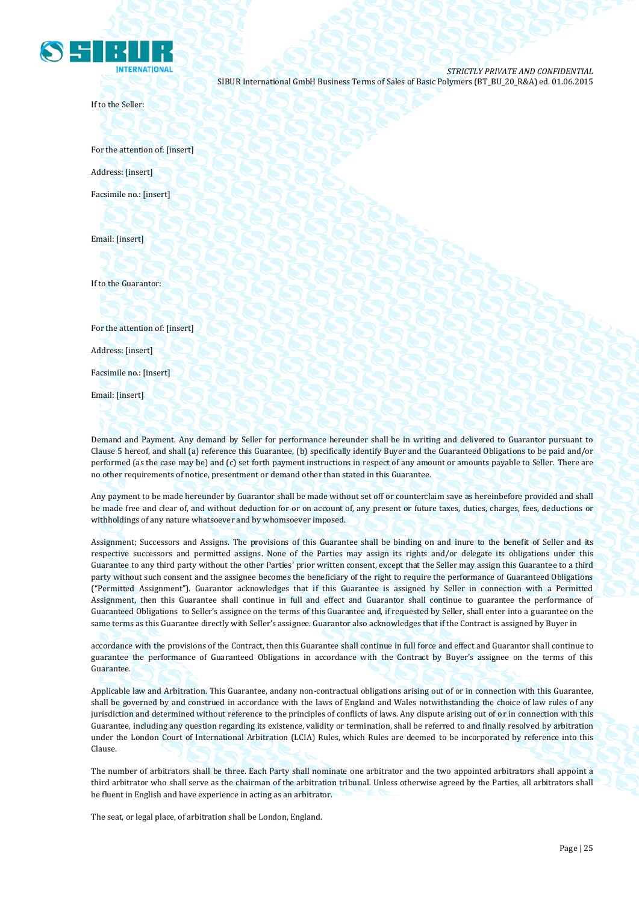

If to the Seller:

For the attention of: [insert] Address: [insert] Facsimile no.: [insert]

Email: [insert]

If to the Guarantor:

For the attention of: [insert]

Address: [insert]

Facsimile no.: [insert]

Email: [insert]

Demand and Payment. Any demand by Seller for performance hereunder shall be in writing and delivered to Guarantor pursuant to Clause 5 hereof, and shall (a) reference this Guarantee, (b) specifically identify Buyer and the Guaranteed Obligations to be paid and/or performed (as the case may be) and (c) set forth payment instructions in respect of any amount or amounts payable to Seller. There are no other requirements of notice, presentment or demand other than stated in this Guarantee.

Any payment to be made hereunder by Guarantor shall be made without set off or counterclaim save as hereinbefore provided and shall be made free and clear of, and without deduction for or on account of, any present or future taxes, duties, charges, fees, deductions or withholdings of any nature whatsoever and by whomsoever imposed.

Assignment; Successors and Assigns. The provisions of this Guarantee shall be binding on and inure to the benefit of Seller and its respective successors and permitted assigns. None of the Parties may assign its rights and/or delegate its obligations under this Guarantee to any third party without the other Parties' prior written consent, except that the Seller may assign this Guarantee to a third party without such consent and the assignee becomes the beneficiary of the right to require the performance of Guaranteed Obligations ("Permitted Assignment"). Guarantor acknowledges that if this Guarantee is assigned by Seller in connection with a Permitted Assignment, then this Guarantee shall continue in full and effect and Guarantor shall continue to guarantee the performance of Guaranteed Obligations to Seller's assignee on the terms of this Guarantee and, if requested by Seller, shall enter into a guarantee on the same terms as this Guarantee directly with Seller's assignee. Guarantor also acknowledges that if the Contract is assigned by Buyer in

accordance with the provisions of the Contract, then this Guarantee shall continue in full force and effect and Guarantor shall continue to guarantee the performance of Guaranteed Obligations in accordance with the Contract by Buyer's assignee on the terms of this Guarantee.

Applicable law and Arbitration. This Guarantee, andany non-contractual obligations arising out of or in connection with this Guarantee, shall be governed by and construed in accordance with the laws of England and Wales notwithstanding the choice of law rules of any jurisdiction and determined without reference to the principles of conflicts of laws. Any dispute arising out of or in connection with this Guarantee, including any question regarding its existence, validity or termination, shall be referred to and finally resolved by arbitration under the London Court of International Arbitration (LCIA) Rules, which Rules are deemed to be incorporated by reference into this Clause.

The number of arbitrators shall be three. Each Party shall nominate one arbitrator and the two appointed arbitrators shall appoint a third arbitrator who shall serve as the chairman of the arbitration tribunal. Unless otherwise agreed by the Parties, all arbitrators shall be fluent in English and have experience in acting as an arbitrator.

The seat, or legal place, of arbitration shall be London, England.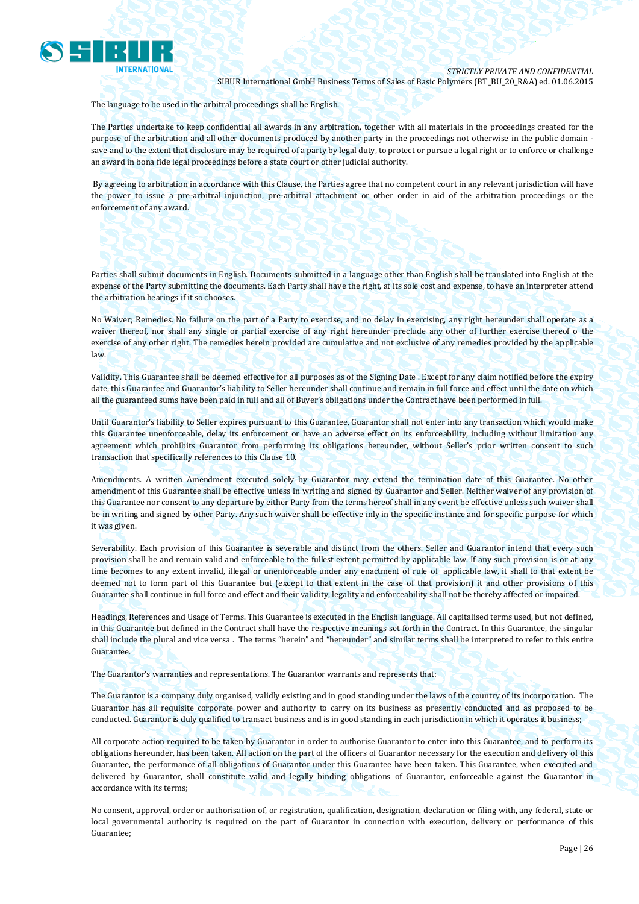

The language to be used in the arbitral proceedings shall be English.

The Parties undertake to keep confidential all awards in any arbitration, together with all materials in the proceedings created for the purpose of the arbitration and all other documents produced by another party in the proceedings not otherwise in the public domain save and to the extent that disclosure may be required of a party by legal duty, to protect or pursue a legal right or to enforce or challenge an award in bona fide legal proceedings before a state court or other judicial authority.

By agreeing to arbitration in accordance with this Clause, the Parties agree that no competent court in any relevant jurisdiction will have the power to issue a pre-arbitral injunction, pre-arbitral attachment or other order in aid of the arbitration proceedings or the enforcement of any award.

Parties shall submit documents in English. Documents submitted in a language other than English shall be translated into English at the expense of the Party submitting the documents. Each Party shall have the right, at its sole cost and expense, to have an interpreter attend the arbitration hearings if it so chooses.

No Waiver; Remedies. No failure on the part of a Party to exercise, and no delay in exercising, any right hereunder shall operate as a waiver thereof, nor shall any single or partial exercise of any right hereunder preclude any other of further exercise thereof o the exercise of any other right. The remedies herein provided are cumulative and not exclusive of any remedies provided by the applicable law.

Validity. This Guarantee shall be deemed effective for all purposes as of the Signing Date . Except for any claim notified before the expiry date, this Guarantee and Guarantor's liability to Seller hereunder shall continue and remain in full force and effect until the date on which all the guaranteed sums have been paid in full and all of Buyer's obligations under the Contract have been performed in full.

Until Guarantor's liability to Seller expires pursuant to this Guarantee, Guarantor shall not enter into any transaction which would make this Guarantee unenforceable, delay its enforcement or have an adverse effect on its enforceability, including without limitation any agreement which prohibits Guarantor from performing its obligations hereunder, without Seller's prior written consent to such transaction that specifically references to this Clause 10.

Amendments. A written Amendment executed solely by Guarantor may extend the termination date of this Guarantee. No other amendment of this Guarantee shall be effective unless in writing and signed by Guarantor and Seller. Neither waiver of any provision of this Guarantee nor consent to any departure by either Party from the terms hereof shall in any event be effective unless such waiver shall be in writing and signed by other Party. Any such waiver shall be effective inly in the specific instance and for specific purpose for which it was given.

Severability. Each provision of this Guarantee is severable and distinct from the others. Seller and Guarantor intend that every such provision shall be and remain valid and enforceable to the fullest extent permitted by applicable law. If any such provision is or at any time becomes to any extent invalid, illegal or unenforceable under any enactment of rule of applicable law, it shall to that extent be deemed not to form part of this Guarantee but (except to that extent in the case of that provision) it and other provisions of this Guarantee shall continue in full force and effect and their validity, legality and enforceability shall not be thereby affected or impaired.

Headings, References and Usage of Terms. This Guarantee is executed in the English language. All capitalised terms used, but not defined, in this Guarantee but defined in the Contract shall have the respective meanings set forth in the Contract. In this Guarantee, the singular shall include the plural and vice versa . The terms "herein" and "hereunder" and similar terms shall be interpreted to refer to this entire Guarantee.

The Guarantor's warranties and representations. The Guarantor warrants and represents that:

The Guarantor is a company duly organised, validly existing and in good standing under the laws of the country of its incorporation. The Guarantor has all requisite corporate power and authority to carry on its business as presently conducted and as proposed to be conducted. Guarantor is duly qualified to transact business and is in good standing in each jurisdiction in which it operates it business;

All corporate action required to be taken by Guarantor in order to authorise Guarantor to enter into this Guarantee, and to perform its obligations hereunder, has been taken. All action on the part of the officers of Guarantor necessary for the execution and delivery of this Guarantee, the performance of all obligations of Guarantor under this Guarantee have been taken. This Guarantee, when executed and delivered by Guarantor, shall constitute valid and legally binding obligations of Guarantor, enforceable against the Guarantor in accordance with its terms;

No consent, approval, order or authorisation of, or registration, qualification, designation, declaration or filing with, any federal, state or local governmental authority is required on the part of Guarantor in connection with execution, delivery or performance of this Guarantee;